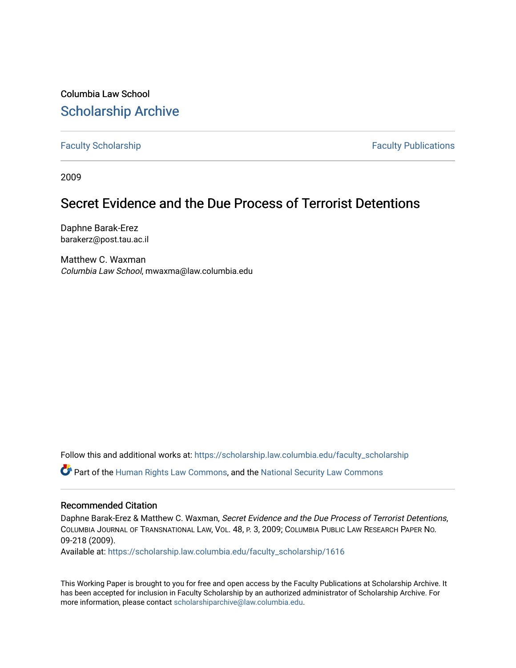Columbia Law School [Scholarship Archive](https://scholarship.law.columbia.edu/) 

[Faculty Scholarship](https://scholarship.law.columbia.edu/faculty_scholarship) **Faculty Scholarship Faculty Publications** 

2009

# Secret Evidence and the Due Process of Terrorist Detentions

Daphne Barak-Erez barakerz@post.tau.ac.il

Matthew C. Waxman Columbia Law School, mwaxma@law.columbia.edu

Follow this and additional works at: [https://scholarship.law.columbia.edu/faculty\\_scholarship](https://scholarship.law.columbia.edu/faculty_scholarship?utm_source=scholarship.law.columbia.edu%2Ffaculty_scholarship%2F1616&utm_medium=PDF&utm_campaign=PDFCoverPages)

Part of the [Human Rights Law Commons,](http://network.bepress.com/hgg/discipline/847?utm_source=scholarship.law.columbia.edu%2Ffaculty_scholarship%2F1616&utm_medium=PDF&utm_campaign=PDFCoverPages) and the [National Security Law Commons](http://network.bepress.com/hgg/discipline/1114?utm_source=scholarship.law.columbia.edu%2Ffaculty_scholarship%2F1616&utm_medium=PDF&utm_campaign=PDFCoverPages) 

# Recommended Citation

Daphne Barak-Erez & Matthew C. Waxman, Secret Evidence and the Due Process of Terrorist Detentions, COLUMBIA JOURNAL OF TRANSNATIONAL LAW, VOL. 48, P. 3, 2009; COLUMBIA PUBLIC LAW RESEARCH PAPER NO. 09-218 (2009).

Available at: [https://scholarship.law.columbia.edu/faculty\\_scholarship/1616](https://scholarship.law.columbia.edu/faculty_scholarship/1616?utm_source=scholarship.law.columbia.edu%2Ffaculty_scholarship%2F1616&utm_medium=PDF&utm_campaign=PDFCoverPages)

This Working Paper is brought to you for free and open access by the Faculty Publications at Scholarship Archive. It has been accepted for inclusion in Faculty Scholarship by an authorized administrator of Scholarship Archive. For more information, please contact [scholarshiparchive@law.columbia.edu.](mailto:scholarshiparchive@law.columbia.edu)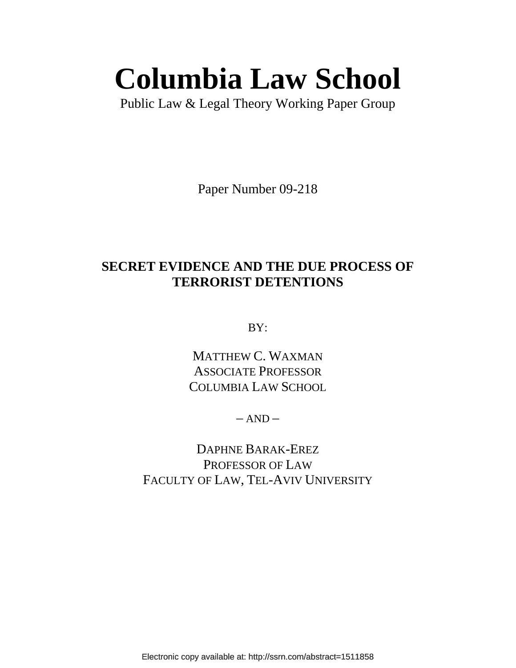# **Columbia Law School**

Public Law & Legal Theory Working Paper Group

Paper Number 09-218

# **SECRET EVIDENCE AND THE DUE PROCESS OF TERRORIST DETENTIONS**

BY:

MATTHEW C. WAXMAN ASSOCIATE PROFESSOR COLUMBIA LAW SCHOOL

 $-$  AND  $-$ 

DAPHNE BARAK-EREZ PROFESSOR OF LAW FACULTY OF LAW, TEL-AVIV UNIVERSITY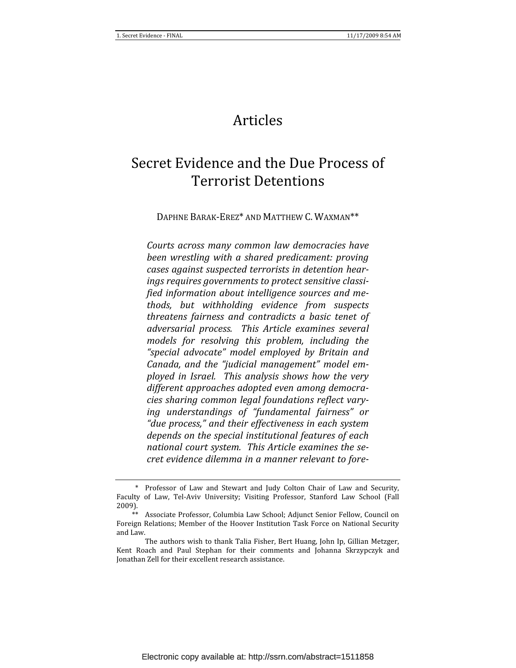# Articles

# Secret Evidence and the Due Process of Terrorist Detentions

DAPHNE BARAK‐EREZ\* AND MATTHEW C. WAXMAN\*\*

*Courts across many common law democracies have been wrestling with a shared predicament: proving cases against suspected terrorists in detention hear‐ ings requires governments to protect sensitive classi‐ fied information about intelligence sources and me‐ thods, but withholding evidence from suspects threatens fairness and contradicts a basic tenet of adversarial process. This Article examines several models for resolving this problem, including the "special advocate" model employed by Britain and Canada, and the "judicial management" model em‐ ployed in Israel. This analysis shows how the very different approaches adopted even among democra‐ cies sharing common legal foundations reflect vary‐ ing understandings of "fundamental fairness" or "due process," and their effectiveness in each system depends on the special institutional features of each national court system. This Article examines the se‐ cret evidence dilemma in a manner relevant to fore‐*

<sup>\*</sup> Professor of Law and Stewart and Judy Colton Chair of Law and Security, Faculty of Law, Tel-Aviv University; Visiting Professor, Stanford Law School (Fall 2009).

Associate Professor, Columbia Law School; Adjunct Senior Fellow, Council on Foreign Relations; Member of the Hoover Institution Task Force on National Security and Law.

The authors wish to thank Talia Fisher, Bert Huang, John Ip, Gillian Metzger, Kent Roach and Paul Stephan for their comments and Johanna Skrzypczyk and Jonathan Zell for their excellent research assistance.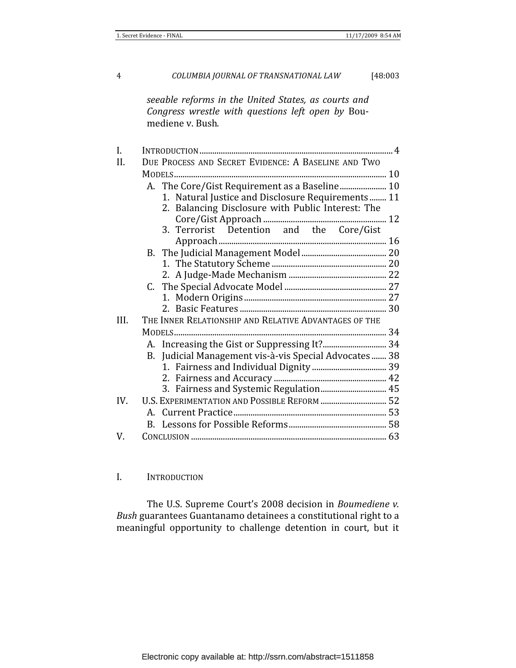| 4    | [48:003]<br>COLUMBIA JOURNAL OF TRANSNATIONAL LAW                                                                            |
|------|------------------------------------------------------------------------------------------------------------------------------|
|      | seeable reforms in the United States, as courts and<br>Congress wrestle with questions left open by Bou-<br>mediene v. Bush. |
| L.   |                                                                                                                              |
| II.  | DUE PROCESS AND SECRET EVIDENCE: A BASELINE AND TWO                                                                          |
|      |                                                                                                                              |
|      | A. The Core/Gist Requirement as a Baseline 10                                                                                |
|      | 1. Natural Justice and Disclosure Requirements 11                                                                            |
|      | 2. Balancing Disclosure with Public Interest: The                                                                            |
|      |                                                                                                                              |
|      | 3. Terrorist Detention and the Core/Gist                                                                                     |
|      |                                                                                                                              |
|      |                                                                                                                              |
|      |                                                                                                                              |
|      | C.                                                                                                                           |
|      |                                                                                                                              |
|      |                                                                                                                              |
| III. | THE INNER RELATIONSHIP AND RELATIVE ADVANTAGES OF THE                                                                        |
|      |                                                                                                                              |
|      |                                                                                                                              |
|      | B. Judicial Management vis-à-vis Special Advocates  38                                                                       |
|      |                                                                                                                              |
|      |                                                                                                                              |
|      | 3. Fairness and Systemic Regulation 45                                                                                       |
| IV.  | U.S. EXPERIMENTATION AND POSSIBLE REFORM  52                                                                                 |
|      |                                                                                                                              |
|      |                                                                                                                              |
| V.   |                                                                                                                              |

# I. INTRODUCTION

The U.S. Supreme Court's 2008 decision in *Boumediene v. Bush* guarantees Guantanamo detainees a constitutional right to a meaningful opportunity to challenge detention in court, but it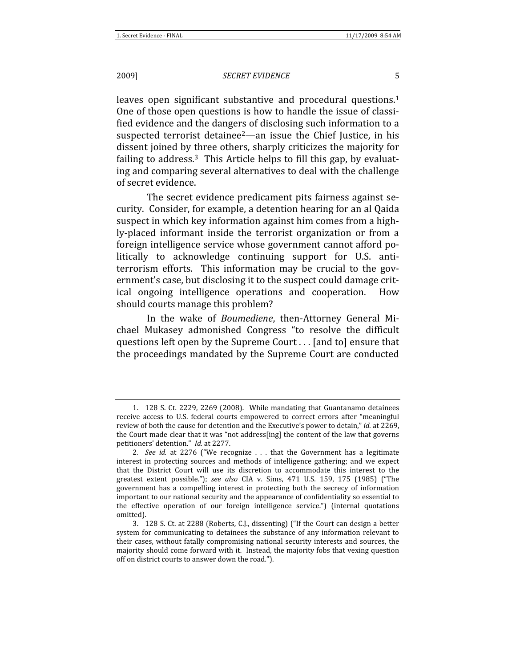leaves open significant substantive and procedural questions.<sup>1</sup> One of those open questions is how to handle the issue of classi‐ fied evidence and the dangers of disclosing such information to a suspected terrorist detainee<sup>2</sup>—an issue the Chief Justice, in his dissent joined by three others, sharply criticizes the majority for failing to address. $3$  This Article helps to fill this gap, by evaluating and comparing several alternatives to deal with the challenge of secret evidence.

The secret evidence predicament pits fairness against security. Consider, for example, a detention hearing for an al Qaida suspect in which key information against him comes from a high‐ ly‐placed informant inside the terrorist organization or from a foreign intelligence service whose government cannot afford po‐ litically to acknowledge continuing support for U.S. antiterrorism efforts. This information may be crucial to the government's case, but disclosing it to the suspect could damage critical ongoing intelligence operations and cooperation. How should courts manage this problem?

In the wake of *Boumediene*, then‐Attorney General Mi‐ chael Mukasey admonished Congress "to resolve the difficult questions left open by the Supreme Court . . . [and to] ensure that the proceedings mandated by the Supreme Court are conducted

<sup>1.</sup> 128 S. Ct. 2229, 2269 (2008). While mandating that Guantanamo detainees receive access to U.S. federal courts empowered to correct errors after "meaningful review of both the cause for detention and the Executive's power to detain," *id.* at 2269, the Court made clear that it was "not address[ing] the content of the law that governs petitioners' detention." *Id.* at 2277.

<sup>2</sup>*. See id.* at 2276 ("We recognize . . . that the Government has a legitimate interest in protecting sources and methods of intelligence gathering; and we expect that the District Court will use its discretion to accommodate this interest to the greatest extent possible."); *see also* CIA v. Sims, 471 U.S. 159, 175 (1985) ("The government has a compelling interest in protecting both the secrecy of information important to our national security and the appearance of confidentiality so essential to the effective operation of our foreign intelligence service.") (internal quotations omitted).

<sup>3.</sup> 128 S. Ct. at 2288 (Roberts, C.J., dissenting) ("If the Court can design a better system for communicating to detainees the substance of any information relevant to their cases, without fatally compromising national security interests and sources, the majority should come forward with it. Instead, the majority fobs that vexing question off on district courts to answer down the road.").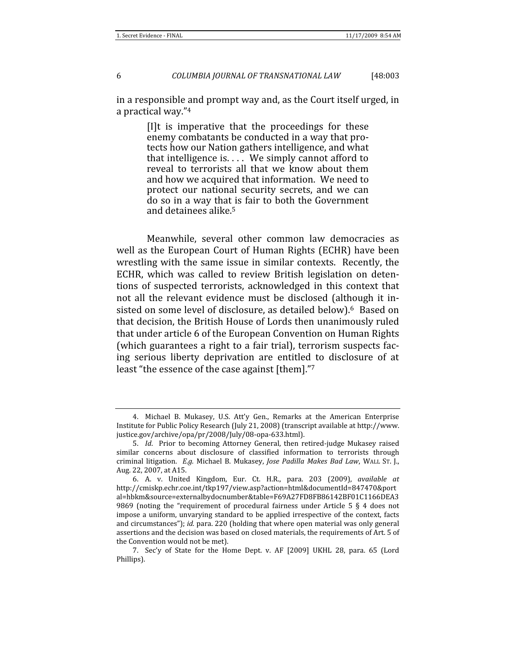in a responsible and prompt way and, as the Court itself urged, in a practical way."4

> [I]t is imperative that the proceedings for these enemy combatants be conducted in a way that pro‐ tects how our Nation gathers intelligence, and what that intelligence is. . . . We simply cannot afford to reveal to terrorists all that we know about them and how we acquired that information. We need to protect our national security secrets, and we can do so in a way that is fair to both the Government and detainees alike.5

Meanwhile, several other common law democracies as well as the European Court of Human Rights (ECHR) have been wrestling with the same issue in similar contexts. Recently, the ECHR, which was called to review British legislation on deten‐ tions of suspected terrorists, acknowledged in this context that not all the relevant evidence must be disclosed (although it in‐ sisted on some level of disclosure, as detailed below).<sup>6</sup> Based on that decision, the British House of Lords then unanimously ruled that under article 6 of the European Convention on Human Rights (which guarantees a right to a fair trial), terrorism suspects fac‐ ing serious liberty deprivation are entitled to disclosure of at least "the essence of the case against [them]."7

<sup>4.</sup> Michael B. Mukasey, U.S. Att'y Gen., Remarks at the American Enterprise Institute for Public Policy Research (July 21, 2008) (transcript available at http://www. justice.gov/archive/opa/pr/2008/July/08‐opa‐633.html).

<sup>5.</sup> *Id.* Prior to becoming Attorney General, then retired-judge Mukasey raised similar concerns about disclosure of classified information to terrorists through criminal litigation. *E.g.* Michael B. Mukasey, *Jose Padilla Makes Bad Law*, WALL ST. J., Aug. 22, 2007, at A15.

<sup>6.</sup> A. v. United Kingdom, Eur. Ct. H.R., para. 203 (2009), *available at* http://cmiskp.echr.coe.int/tkp197/view.asp?action=html&documentId=847470&port al=hbkm&source=externalbydocnumber&table=F69A27FD8FB86142BF01C1166DEA3 9869 (noting the "requirement of procedural fairness under Article 5 § 4 does not impose a uniform, unvarying standard to be applied irrespective of the context, facts and circumstances"); *id.* para. 220 (holding that where open material was only general assertions and the decision was based on closed materials, the requirements of Art. 5 of the Convention would not be met).

<sup>7.</sup> Sec'y of State for the Home Dept. v. AF [2009] UKHL 28, para. 65 (Lord Phillips).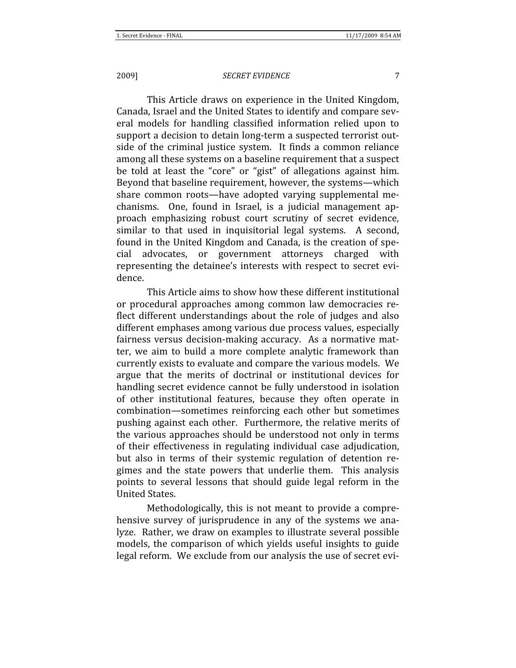This Article draws on experience in the United Kingdom, Canada, Israel and the United States to identify and compare sev‐ eral models for handling classified information relied upon to support a decision to detain long‐term a suspected terrorist out‐ side of the criminal justice system. It finds a common reliance among all these systems on a baseline requirement that a suspect be told at least the "core" or "gist" of allegations against him. Beyond that baseline requirement, however, the systems—which share common roots—have adopted varying supplemental mechanisms. One, found in Israel, is a judicial management approach emphasizing robust court scrutiny of secret evidence, similar to that used in inquisitorial legal systems. A second, found in the United Kingdom and Canada, is the creation of spe‐ cial advocates, or government attorneys charged with representing the detainee's interests with respect to secret evi‐ dence.

This Article aims to show how these different institutional or procedural approaches among common law democracies re‐ flect different understandings about the role of judges and also different emphases among various due process values, especially fairness versus decision-making accuracy. As a normative matter, we aim to build a more complete analytic framework than currently exists to evaluate and compare the various models. We argue that the merits of doctrinal or institutional devices for handling secret evidence cannot be fully understood in isolation of other institutional features, because they often operate in combination—sometimes reinforcing each other but sometimes pushing against each other. Furthermore, the relative merits of the various approaches should be understood not only in terms of their effectiveness in regulating individual case adjudication, but also in terms of their systemic regulation of detention regimes and the state powers that underlie them. This analysis points to several lessons that should guide legal reform in the United States.

Methodologically, this is not meant to provide a comprehensive survey of jurisprudence in any of the systems we analyze. Rather, we draw on examples to illustrate several possible models, the comparison of which yields useful insights to guide legal reform. We exclude from our analysis the use of secret evi‐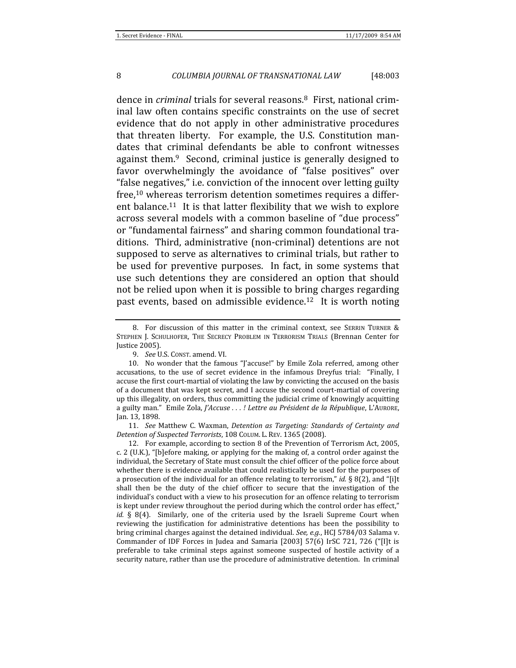dence in *criminal* trials for several reasons.8 First, national crim‐ inal law often contains specific constraints on the use of secret evidence that do not apply in other administrative procedures that threaten liberty. For example, the U.S. Constitution mandates that criminal defendants be able to confront witnesses against them.<sup>9</sup> Second, criminal justice is generally designed to favor overwhelmingly the avoidance of "false positives" over "false negatives," i.e. conviction of the innocent over letting guilty free,<sup>10</sup> whereas terrorism detention sometimes requires a different balance.<sup>11</sup> It is that latter flexibility that we wish to explore across several models with a common baseline of "due process" or "fundamental fairness" and sharing common foundational tra‐ ditions. Third, administrative (non‐criminal) detentions are not supposed to serve as alternatives to criminal trials, but rather to be used for preventive purposes. In fact, in some systems that use such detentions they are considered an option that should not be relied upon when it is possible to bring charges regarding past events, based on admissible evidence.<sup>12</sup> It is worth noting

11. *See* Matthew C. Waxman, *Detention as Targeting: Standards of Certainty and Detention of Suspected Terrorists*, 108 COLUM. L. REV. 1365 (2008).

12. For example, according to section 8 of the Prevention of Terrorism Act, 2005, c. 2 (U.K.), "[b]efore making, or applying for the making of, a control order against the individual, the Secretary of State must consult the chief officer of the police force about whether there is evidence available that could realistically be used for the purposes of a prosecution of the individual for an offence relating to terrorism," *id.* § 8(2), and "[i]t shall then be the duty of the chief officer to secure that the investigation of the individual's conduct with a view to his prosecution for an offence relating to terrorism is kept under review throughout the period during which the control order has effect," *id.* § 8(4). Similarly, one of the criteria used by the Israeli Supreme Court when reviewing the justification for administrative detentions has been the possibility to bring criminal charges against the detained individual. *See, e.g.*, HCJ 5784/03 Salama v. Commander of IDF Forces in Judea and Samaria [2003] 57(6) IrSC 721, 726 ("[I]t is preferable to take criminal steps against someone suspected of hostile activity of a security nature, rather than use the procedure of administrative detention. In criminal

<sup>8.</sup> For discussion of this matter in the criminal context, see SERRIN TURNER & STEPHEN J. SCHULHOFER, THE SECRECY PROBLEM IN TERRORISM TRIALS (Brennan Center for Justice 2005).

<sup>9.</sup> *See* U.S. CONST. amend. VI.

<sup>10.</sup> No wonder that the famous "J'accuse!" by Emile Zola referred, among other accusations, to the use of secret evidence in the infamous Dreyfus trial: "Finally, I accuse the first court-martial of violating the law by convicting the accused on the basis of a document that was kept secret, and I accuse the second court‐martial of covering up this illegality, on orders, thus committing the judicial crime of knowingly acquitting a guilty man." Emile Zola, *J'Accuse . . . ! Lettre au Président de la République*, L'AURORE, Jan. 13, 1898.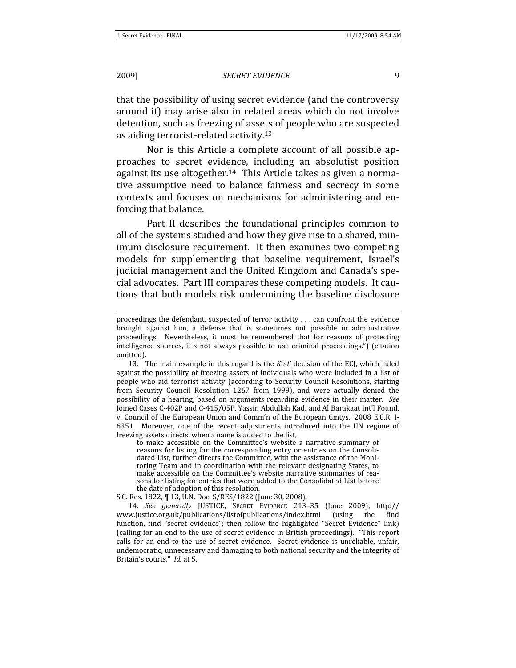that the possibility of using secret evidence (and the controversy around it) may arise also in related areas which do not involve detention, such as freezing of assets of people who are suspected as aiding terrorist-related activity.<sup>13</sup>

Nor is this Article a complete account of all possible approaches to secret evidence, including an absolutist position against its use altogether.<sup>14</sup> This Article takes as given a normative assumptive need to balance fairness and secrecy in some contexts and focuses on mechanisms for administering and en‐ forcing that balance.

Part II describes the foundational principles common to all of the systems studied and how they give rise to a shared, min‐ imum disclosure requirement. It then examines two competing models for supplementing that baseline requirement, Israel's judicial management and the United Kingdom and Canada's spe‐ cial advocates. Part III compares these competing models. It cau‐ tions that both models risk undermining the baseline disclosure

to make accessible on the Committee's website a narrative summary of reasons for listing for the corresponding entry or entries on the Consolidated List, further directs the Committee, with the assistance of the Monitoring Team and in coordination with the relevant designating States, to make accessible on the Committee's website narrative summaries of reasons for listing for entries that were added to the Consolidated List before the date of adoption of this resolution.

S.C. Res. 1822, ¶ 13, U.N. Doc. S/RES/1822 (June 30, 2008).

14. *See generally* JUSTICE, SECRET EVIDENCE 213–35 (June 2009), http:// www.justice.org.uk/publications/listofpublications/index.html (using the find function, find "secret evidence"; then follow the highlighted "Secret Evidence" link) (calling for an end to the use of secret evidence in British proceedings). "This report calls for an end to the use of secret evidence. Secret evidence is unreliable, unfair, undemocratic, unnecessary and damaging to both national security and the integrity of Britain's courts." *Id.* at 5.

proceedings the defendant, suspected of terror activity . . . can confront the evidence brought against him, a defense that is sometimes not possible in administrative proceedings. Nevertheless, it must be remembered that for reasons of protecting intelligence sources, it s not always possible to use criminal proceedings.") (citation omitted).

<sup>13.</sup> The main example in this regard is the *Kadi* decision of the ECJ, which ruled against the possibility of freezing assets of individuals who were included in a list of people who aid terrorist activity (according to Security Council Resolutions, starting from Security Council Resolution 1267 from 1999), and were actually denied the possibility of a hearing, based on arguments regarding evidence in their matter. *See* Joined Cases C‐402P and C‐415/05P, Yassin Abdullah Kadi and Al Barakaat Int'l Found. v. Council of the European Union and Comm'n of the European Cmtys., 2008 E.C.R. I‐ 6351. Moreover, one of the recent adjustments introduced into the UN regime of freezing assets directs, when a name is added to the list,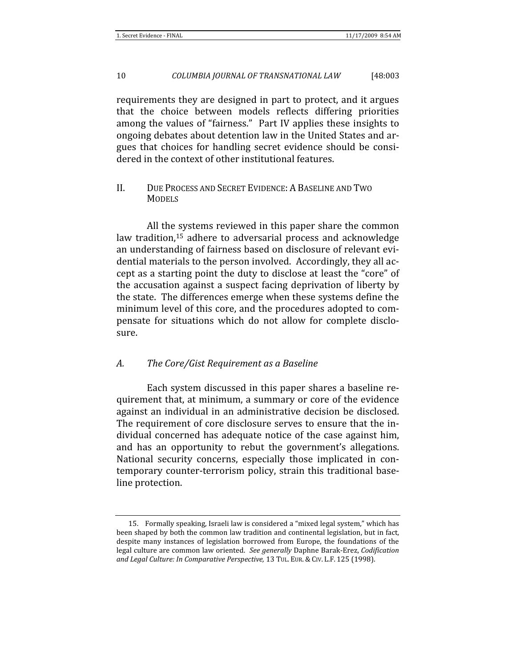requirements they are designed in part to protect, and it argues that the choice between models reflects differing priorities among the values of "fairness." Part IV applies these insights to ongoing debates about detention law in the United States and ar‐ gues that choices for handling secret evidence should be consi‐ dered in the context of other institutional features.

# II. DUE PROCESS AND SECRET EVIDENCE: A BASELINE AND TWO **MODELS**

All the systems reviewed in this paper share the common law tradition.<sup>15</sup> adhere to adversarial process and acknowledge an understanding of fairness based on disclosure of relevant evi‐ dential materials to the person involved. Accordingly, they all ac‐ cept as a starting point the duty to disclose at least the "core" of the accusation against a suspect facing deprivation of liberty by the state. The differences emerge when these systems define the minimum level of this core, and the procedures adopted to com‐ pensate for situations which do not allow for complete disclo‐ sure.

# *A. The Core/Gist Requirement as a Baseline*

Each system discussed in this paper shares a baseline re‐ quirement that, at minimum, a summary or core of the evidence against an individual in an administrative decision be disclosed. The requirement of core disclosure serves to ensure that the in‐ dividual concerned has adequate notice of the case against him, and has an opportunity to rebut the government's allegations. National security concerns, especially those implicated in con‐ temporary counter‐terrorism policy, strain this traditional base‐ line protection.

<sup>15.</sup> Formally speaking, Israeli law is considered a "mixed legal system," which has been shaped by both the common law tradition and continental legislation, but in fact, despite many instances of legislation borrowed from Europe, the foundations of the legal culture are common law oriented. *See generally* Daphne Barak‐Erez, *Codification and Legal Culture: In Comparative Perspective,* 13 TUL. EUR.& CIV. L.F. 125 (1998).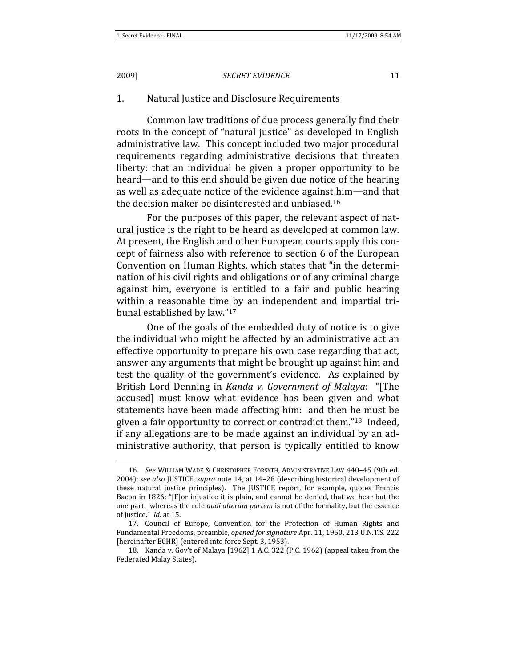## 1. Natural Justice and Disclosure Requirements

Common law traditions of due process generally find their roots in the concept of "natural justice" as developed in English administrative law. This concept included two major procedural requirements regarding administrative decisions that threaten liberty: that an individual be given a proper opportunity to be heard—and to this end should be given due notice of the hearing as well as adequate notice of the evidence against him—and that the decision maker be disinterested and unbiased.16

For the purposes of this paper, the relevant aspect of natural justice is the right to be heard as developed at common law. At present, the English and other European courts apply this con‐ cept of fairness also with reference to section 6 of the European Convention on Human Rights, which states that "in the determi‐ nation of his civil rights and obligations or of any criminal charge against him, everyone is entitled to a fair and public hearing within a reasonable time by an independent and impartial tribunal established by law."17

One of the goals of the embedded duty of notice is to give the individual who might be affected by an administrative act an effective opportunity to prepare his own case regarding that act, answer any arguments that might be brought up against him and test the quality of the government's evidence. As explained by British Lord Denning in *Kanda v. Government of Malaya*: "[The accused] must know what evidence has been given and what statements have been made affecting him: and then he must be given a fair opportunity to correct or contradict them."18 Indeed, if any allegations are to be made against an individual by an ad‐ ministrative authority, that person is typically entitled to know

<sup>16.</sup> *See* WILLIAM WADE & CHRISTOPHER FORSYTH, ADMINISTRATIVE LAW 440–45 (9th ed. 2004); *see also* JUSTICE, *supra* note 14, at 14–28 (describing historical development of these natural justice principles). The JUSTICE report, for example, quotes Francis Bacon in 1826: "[F]or injustice it is plain, and cannot be denied, that we hear but the one part: whereas the rule *audi alteram partem* is not of the formality, but the essence of justice." *Id.* at 15.

<sup>17.</sup> Council of Europe, Convention for the Protection of Human Rights and Fundamental Freedoms, preamble, *opened for signature* Apr. 11, 1950, 213 U.N.T.S. 222 [hereinafter ECHR] (entered into force Sept. 3, 1953).

<sup>18.</sup> Kanda v. Gov't of Malaya [1962] 1 A.C. 322 (P.C. 1962) (appeal taken from the Federated Malay States).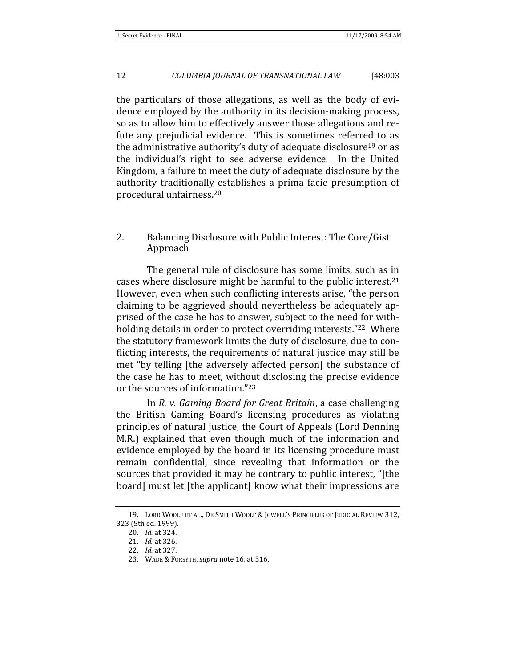the particulars of those allegations, as well as the body of evi‐ dence employed by the authority in its decision‐making process, so as to allow him to effectively answer those allegations and re‐ fute any prejudicial evidence. This is sometimes referred to as the administrative authority's duty of adequate disclosure<sup>19</sup> or as the individual's right to see adverse evidence. In the United Kingdom, a failure to meet the duty of adequate disclosure by the authority traditionally establishes a prima facie presumption of procedural unfairness.20

# 2. Balancing Disclosure with Public Interest: The Core/Gist Approach

The general rule of disclosure has some limits, such as in cases where disclosure might be harmful to the public interest.21 However, even when such conflicting interests arise, "the person claiming to be aggrieved should nevertheless be adequately ap‐ prised of the case he has to answer, subject to the need for with‐ holding details in order to protect overriding interests."<sup>22</sup> Where the statutory framework limits the duty of disclosure, due to con‐ flicting interests, the requirements of natural justice may still be met "by telling [the adversely affected person] the substance of the case he has to meet, without disclosing the precise evidence or the sources of information."23

In *R. v. Gaming Board for Great Britain*, a case challenging the British Gaming Board's licensing procedures as violating principles of natural justice, the Court of Appeals (Lord Denning M.R.) explained that even though much of the information and evidence employed by the board in its licensing procedure must remain confidential, since revealing that information or the sources that provided it may be contrary to public interest, "[the board] must let [the applicant] know what their impressions are

<sup>19.</sup> LORD WOOLF ET AL., DE SMITH WOOLF & JOWELL'S PRINCIPLES OF JUDICIAL REVIEW 312, 323 (5th ed. 1999).

<sup>20.</sup> *Id.* at 324.

<sup>21.</sup> *Id.* at 326.

<sup>22.</sup> *Id.* at 327.

<sup>23.</sup> WADE & FORSYTH, *supra* note 16, at 516.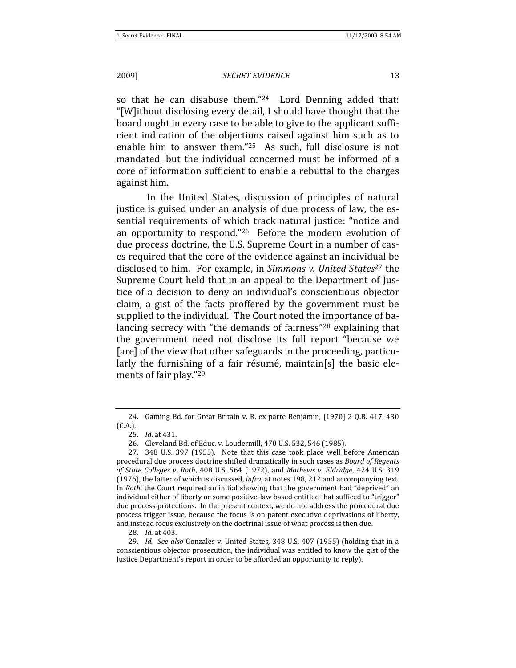so that he can disabuse them." $24$  Lord Denning added that: "[W]ithout disclosing every detail, I should have thought that the board ought in every case to be able to give to the applicant suffi‐ cient indication of the objections raised against him such as to enable him to answer them."<sup>25</sup> As such, full disclosure is not mandated, but the individual concerned must be informed of a core of information sufficient to enable a rebuttal to the charges against him.

In the United States, discussion of principles of natural justice is guised under an analysis of due process of law, the essential requirements of which track natural justice: "notice and an opportunity to respond."<sup>26</sup> Before the modern evolution of due process doctrine, the U.S. Supreme Court in a number of cas‐ es required that the core of the evidence against an individual be disclosed to him. For example, in *Simmons v. United States*<sup>27</sup> the Supreme Court held that in an appeal to the Department of Justice of a decision to deny an individual's conscientious objector claim, a gist of the facts proffered by the government must be supplied to the individual. The Court noted the importance of balancing secrecy with "the demands of fairness"<sup>28</sup> explaining that the government need not disclose its full report "because we [are] of the view that other safeguards in the proceeding, particularly the furnishing of a fair résumé, maintain[s] the basic elements of fair play."29

28. *Id.* at 403.

29. *Id. See also* Gonzales v. United States*,* 348 U.S. 407 (1955) (holding that in a conscientious objector prosecution, the individual was entitled to know the gist of the Justice Department's report in order to be afforded an opportunity to reply).

<sup>24.</sup> Gaming Bd. for Great Britain v. R. ex parte Benjamin, [1970] 2 Q.B. 417, 430 (C.A.).

<sup>25.</sup> *Id*. at 431.

<sup>26.</sup> Cleveland Bd. of Educ. v. Loudermill, 470 U.S. 532, 546 (1985).

<sup>27.</sup> 348 U.S. 397 (1955). Note that this case took place well before American procedural due process doctrine shifted dramatically in such cases as *Board of Regents of State Colleges v. Roth*, 408 U.S. 564 (1972), and *Mathews v. Eldridge*, 424 U.S. 319 (1976), the latter of which is discussed, *infra*, at notes 198, 212 and accompanying text. In *Roth*, the Court required an initial showing that the government had "deprived" an individual either of liberty or some positive-law based entitled that sufficed to "trigger" due process protections. In the present context, we do not address the procedural due process trigger issue, because the focus is on patent executive deprivations of liberty, and instead focus exclusively on the doctrinal issue of what process is then due.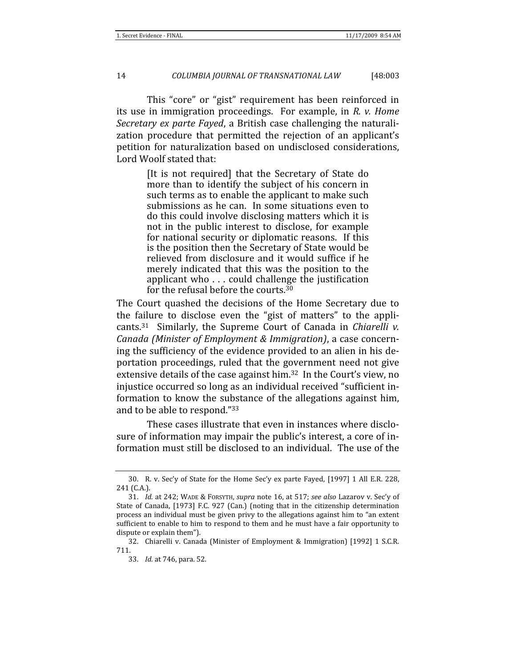This "core" or "gist" requirement has been reinforced in its use in immigration proceedings. For example, in *R. v. Home Secretary ex parte Fayed*, a British case challenging the naturali‐ zation procedure that permitted the rejection of an applicant's petition for naturalization based on undisclosed considerations, Lord Woolf stated that:

> [It is not required] that the Secretary of State do more than to identify the subject of his concern in such terms as to enable the applicant to make such submissions as he can. In some situations even to do this could involve disclosing matters which it is not in the public interest to disclose, for example for national security or diplomatic reasons. If this is the position then the Secretary of State would be relieved from disclosure and it would suffice if he merely indicated that this was the position to the applicant who . . . could challenge the justification for the refusal before the courts. $30$

The Court quashed the decisions of the Home Secretary due to the failure to disclose even the "gist of matters" to the appli‐ cants.31 Similarly, the Supreme Court of Canada in *Chiarelli v. Canada (Minister of Employment & Immigration)*, a case concern‐ ing the sufficiency of the evidence provided to an alien in his de‐ portation proceedings, ruled that the government need not give extensive details of the case against him.<sup>32</sup> In the Court's view, no injustice occurred so long as an individual received "sufficient in‐ formation to know the substance of the allegations against him, and to be able to respond."33

These cases illustrate that even in instances where disclo‐ sure of information may impair the public's interest, a core of in‐ formation must still be disclosed to an individual. The use of the

<sup>30.</sup> R. v. Sec'y of State for the Home Sec'y ex parte Fayed, [1997] 1 All E.R. 228, 241 (C.A.).

<sup>31.</sup> *Id.* at 242; WADE & FORSYTH, *supra* note 16, at 517; *see also* Lazarov v. Sec'y of State of Canada, [1973] F.C. 927 (Can.) (noting that in the citizenship determination process an individual must be given privy to the allegations against him to "an extent sufficient to enable to him to respond to them and he must have a fair opportunity to dispute or explain them").

<sup>32.</sup> Chiarelli v. Canada (Minister of Employment & Immigration) [1992] 1 S.C.R. 711.

<sup>33.</sup> *Id.* at 746, para. 52.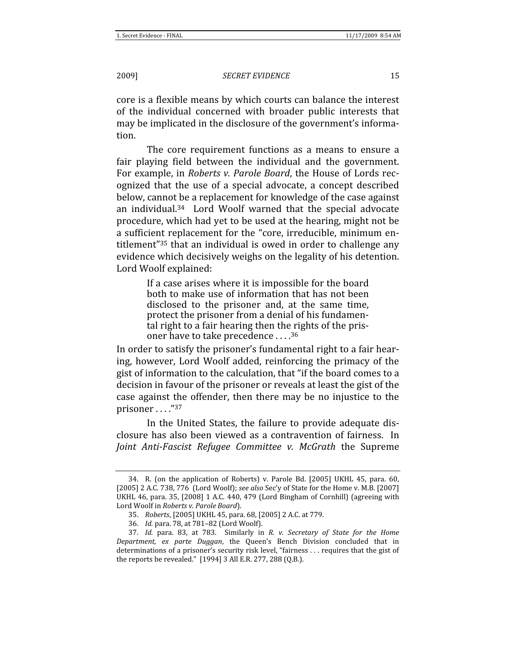core is a flexible means by which courts can balance the interest of the individual concerned with broader public interests that may be implicated in the disclosure of the government's informa‐ tion.

The core requirement functions as a means to ensure a fair playing field between the individual and the government. For example, in *Roberts v. Parole Board*, the House of Lords rec‐ ognized that the use of a special advocate, a concept described below, cannot be a replacement for knowledge of the case against an individual.<sup>34</sup> Lord Woolf warned that the special advocate procedure, which had yet to be used at the hearing, might not be a sufficient replacement for the "core, irreducible, minimum en‐ titlement"35 that an individual is owed in order to challenge any evidence which decisively weighs on the legality of his detention. Lord Woolf explained:

> If a case arises where it is impossible for the board both to make use of information that has not been disclosed to the prisoner and, at the same time, protect the prisoner from a denial of his fundamen‐ tal right to a fair hearing then the rights of the pris‐ oner have to take precedence . . . .36

In order to satisfy the prisoner's fundamental right to a fair hear‐ ing, however, Lord Woolf added, reinforcing the primacy of the gist of information to the calculation, that "if the board comes to a decision in favour of the prisoner or reveals at least the gist of the case against the offender, then there may be no injustice to the prisoner  $\ldots$ ."37

In the United States, the failure to provide adequate dis‐ closure has also been viewed as a contravention of fairness. In *Joint Anti‐Fascist Refugee Committee v. McGrath* the Supreme

<sup>34.</sup> R. (on the application of Roberts) v. Parole Bd. [2005] UKHL 45, para. 60, [2005] 2 A.C. 738, 776 (Lord Woolf); *see also* Sec'y of State for the Home v. M.B. [2007] UKHL 46, para. 35, [2008] 1 A.C. 440, 479 (Lord Bingham of Cornhill) (agreeing with Lord Woolf in *Roberts v. Parole Board*).

<sup>35.</sup> *Roberts*, [2005] UKHL 45, para. 68, [2005] 2 A.C. at 779.

<sup>36.</sup> *Id.* para. 78, at 781–82 (Lord Woolf).

<sup>37.</sup> *Id.*  para. 83, at 783. Similarly in *R. v. Secretary of State for the Home Department, ex parte Duggan*, the Queen's Bench Division concluded that in determinations of a prisoner's security risk level, "fairness . . . requires that the gist of the reports be revealed." [1994] 3 All E.R. 277, 288 (Q.B.).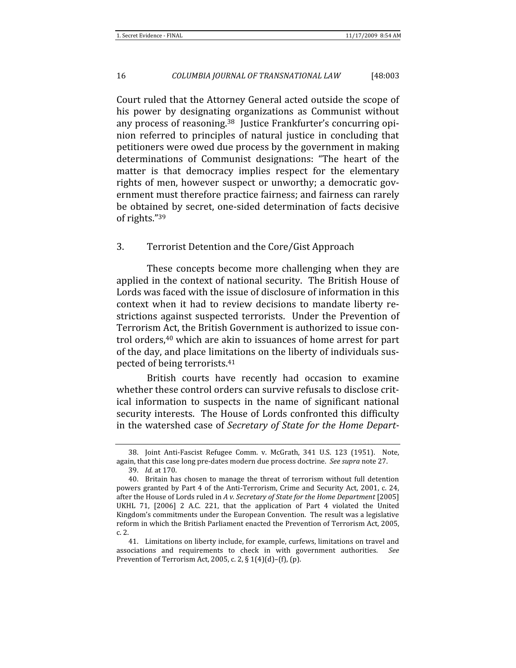Court ruled that the Attorney General acted outside the scope of his power by designating organizations as Communist without any process of reasoning.<sup>38</sup> Justice Frankfurter's concurring opinion referred to principles of natural justice in concluding that petitioners were owed due process by the government in making determinations of Communist designations: "The heart of the matter is that democracy implies respect for the elementary rights of men, however suspect or unworthy; a democratic government must therefore practice fairness; and fairness can rarely be obtained by secret, one‐sided determination of facts decisive of rights."39

# 3. Terrorist Detention and the Core/Gist Approach

These concepts become more challenging when they are applied in the context of national security. The British House of Lords was faced with the issue of disclosure of information in this context when it had to review decisions to mandate liberty re‐ strictions against suspected terrorists. Under the Prevention of Terrorism Act, the British Government is authorized to issue con‐ trol orders, <sup>40</sup> which are akin to issuances of home arrest for part of the day, and place limitations on the liberty of individuals sus‐ pected of being terrorists. 41

British courts have recently had occasion to examine whether these control orders can survive refusals to disclose critical information to suspects in the name of significant national security interests. The House of Lords confronted this difficulty in the watershed case of *Secretary of State for the Home Depart‐*

<sup>38.</sup> Joint Anti‐Fascist Refugee Comm. v. McGrath, 341 U.S. 123 (1951). Note, again, that this case long pre‐dates modern due process doctrine. *See supra* note 27. 39. *Id.* at 170.

<sup>40.</sup> Britain has chosen to manage the threat of terrorism without full detention powers granted by Part 4 of the Anti-Terrorism, Crime and Security Act, 2001, c. 24, after the House of Lords ruled in *A v. Secretary of State for the Home Department* [2005] UKHL 71, [2006] 2 A.C. 221, that the application of Part 4 violated the United Kingdom's commitments under the European Convention. The result was a legislative reform in which the British Parliament enacted the Prevention of Terrorism Act, 2005, c. 2.

<sup>41.</sup> Limitations on liberty include, for example, curfews, limitations on travel and associations and requirements to check in with government authorities. *See* Prevention of Terrorism Act, 2005, c. 2, § 1(4)(d)–(f), (p).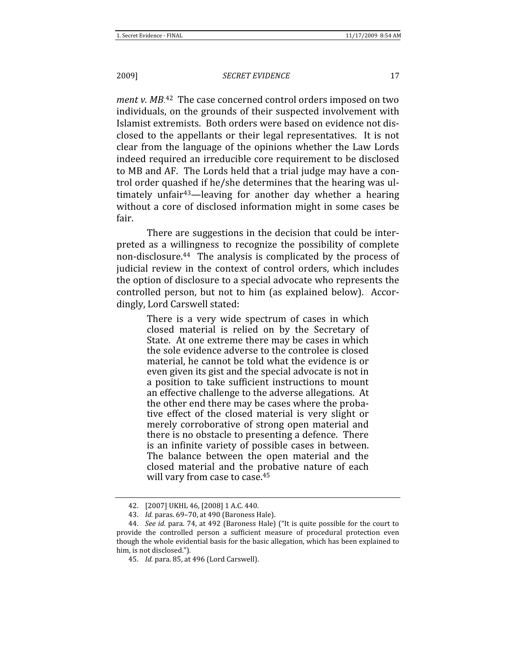*ment v. MB*. 42 The case concerned control orders imposed on two individuals, on the grounds of their suspected involvement with Islamist extremists. Both orders were based on evidence not dis‐ closed to the appellants or their legal representatives. It is not clear from the language of the opinions whether the Law Lords indeed required an irreducible core requirement to be disclosed to MB and AF. The Lords held that a trial judge may have a con‐ trol order quashed if he/she determines that the hearing was ul‐ timately unfair<sup>43</sup>—leaving for another day whether a hearing without a core of disclosed information might in some cases be fair.

There are suggestions in the decision that could be inter‐ preted as a willingness to recognize the possibility of complete non-disclosure.<sup>44</sup> The analysis is complicated by the process of judicial review in the context of control orders, which includes the option of disclosure to a special advocate who represents the controlled person, but not to him (as explained below). Accordingly, Lord Carswell stated:

> There is a very wide spectrum of cases in which closed material is relied on by the Secretary of State. At one extreme there may be cases in which the sole evidence adverse to the controlee is closed material, he cannot be told what the evidence is or even given its gist and the special advocate is not in a position to take sufficient instructions to mount an effective challenge to the adverse allegations. At the other end there may be cases where the proba‐ tive effect of the closed material is very slight or merely corroborative of strong open material and there is no obstacle to presenting a defence. There is an infinite variety of possible cases in between. The balance between the open material and the closed material and the probative nature of each will vary from case to case.<sup>45</sup>

<sup>42.</sup> [2007] UKHL 46, [2008] 1 A.C. 440.

<sup>43.</sup> *Id.* paras. 69–70, at 490 (Baroness Hale).

<sup>44.</sup> *See id.* para. 74, at 492 (Baroness Hale) ("It is quite possible for the court to provide the controlled person a sufficient measure of procedural protection even though the whole evidential basis for the basic allegation, which has been explained to him, is not disclosed.").

<sup>45.</sup> *Id.* para. 85, at 496 (Lord Carswell).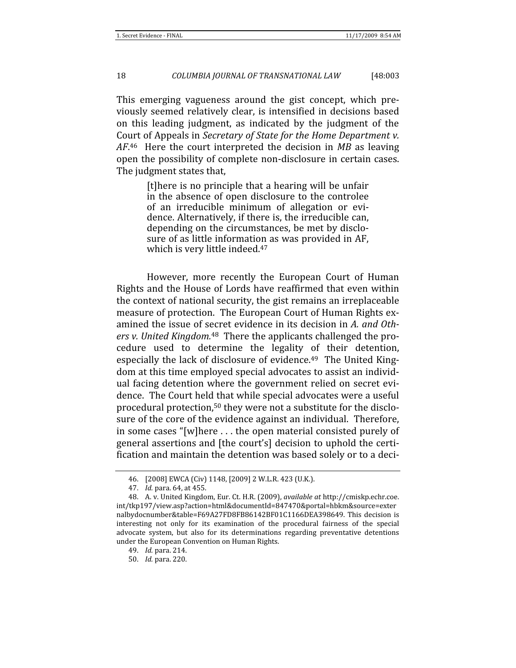This emerging vagueness around the gist concept, which pre‐ viously seemed relatively clear, is intensified in decisions based on this leading judgment, as indicated by the judgment of the Court of Appeals in *Secretary of State for the Home Department v. AF*. <sup>46</sup> Here the court interpreted the decision in *MB* as leaving open the possibility of complete non‐disclosure in certain cases. The judgment states that,

> [t]here is no principle that a hearing will be unfair in the absence of open disclosure to the controlee of an irreducible minimum of allegation or evi‐ dence. Alternatively, if there is, the irreducible can, depending on the circumstances, be met by disclo‐ sure of as little information as was provided in AF, which is very little indeed.<sup>47</sup>

However, more recently the European Court of Human Rights and the House of Lords have reaffirmed that even within the context of national security, the gist remains an irreplaceable measure of protection. The European Court of Human Rights ex‐ amined the issue of secret evidence in its decision in *A. and Oth‐ ers v. United Kingdom.*48 There the applicants challenged the pro‐ cedure used to determine the legality of their detention, especially the lack of disclosure of evidence.<sup>49</sup> The United Kingdom at this time employed special advocates to assist an individ‐ ual facing detention where the government relied on secret evi‐ dence. The Court held that while special advocates were a useful procedural protection,<sup>50</sup> they were not a substitute for the disclosure of the core of the evidence against an individual. Therefore, in some cases "[w]here . . . the open material consisted purely of general assertions and [the court's] decision to uphold the certi‐ fication and maintain the detention was based solely or to a deci‐

<sup>46.</sup> [2008] EWCA (Civ) 1148, [2009] 2 W.L.R. 423 (U.K.).

<sup>47.</sup> *Id.* para. 64, at 455.

<sup>48.</sup> A. v. United Kingdom, Eur. Ct. H.R. (2009), *available at* http://cmiskp.echr.coe. int/tkp197/view.asp?action=html&documentId=847470&portal=hbkm&source=exter nalbydocnumber&table=F69A27FD8FB86142BF01C1166DEA398649. This decision is interesting not only for its examination of the procedural fairness of the special advocate system, but also for its determinations regarding preventative detentions under the European Convention on Human Rights.

<sup>49.</sup> *Id.* para. 214.

<sup>50.</sup> *Id.* para. 220.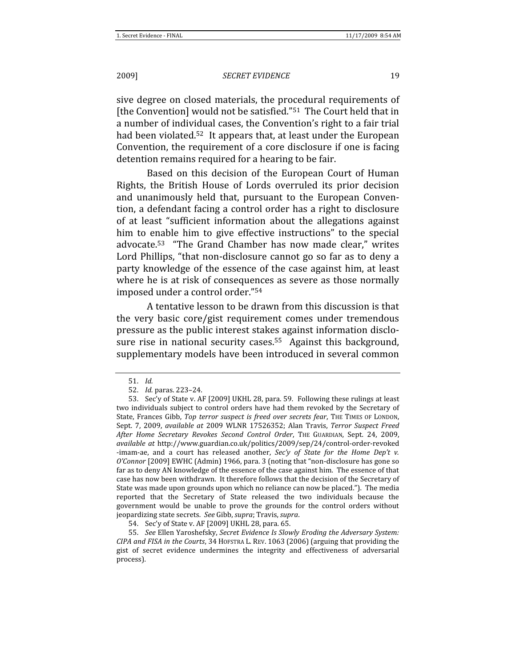sive degree on closed materials, the procedural requirements of [the Convention] would not be satisfied."<sup>51</sup> The Court held that in a number of individual cases, the Convention's right to a fair trial had been violated.<sup>52</sup> It appears that, at least under the European Convention, the requirement of a core disclosure if one is facing detention remains required for a hearing to be fair.

Based on this decision of the European Court of Human Rights, the British House of Lords overruled its prior decision and unanimously held that, pursuant to the European Conven‐ tion, a defendant facing a control order has a right to disclosure of at least "sufficient information about the allegations against him to enable him to give effective instructions" to the special advocate.<sup>53</sup> "The Grand Chamber has now made clear," writes Lord Phillips, "that non-disclosure cannot go so far as to deny a party knowledge of the essence of the case against him, at least where he is at risk of consequences as severe as those normally imposed under a control order."54

A tentative lesson to be drawn from this discussion is that the very basic core/gist requirement comes under tremendous pressure as the public interest stakes against information disclo‐ sure rise in national security cases.<sup>55</sup> Against this background, supplementary models have been introduced in several common

55. *See* Ellen Yaroshefsky, *Secret Evidence Is Slowly Eroding the Adversary System: CIPA and FISA in the Courts*, 34 HOFSTRA L. REV. 1063 (2006) (arguing that providing the gist of secret evidence undermines the integrity and effectiveness of adversarial process).

<sup>51.</sup> *Id.*

<sup>52.</sup> *Id.* paras. 223–24.

<sup>53.</sup> Sec'y of State v. AF [2009] UKHL 28, para. 59. Following these rulings at least two individuals subject to control orders have had them revoked by the Secretary of State, Frances Gibb, *Top terror suspect is freed over secrets fear*, THE TIMES OF LONDON, Sept. 7, 2009, *available at* 2009 WLNR 17526352; Alan Travis, *Terror Suspect Freed After Home Secretary Revokes Second Control Order*, THE GUARDIAN, Sept. 24, 2009, *available at* http://www.guardian.co.uk/politics/2009/sep/24/control‐order‐revoked ‐imam‐ae, and a court has released another, *Sec'y of State for the Home Dep't v. O'Connor* [2009] EWHC (Admin) 1966, para. 3 (noting that "non‐disclosure has gone so far as to deny AN knowledge of the essence of the case against him. The essence of that case has now been withdrawn. It therefore follows that the decision of the Secretary of State was made upon grounds upon which no reliance can now be placed."). The media reported that the Secretary of State released the two individuals because the government would be unable to prove the grounds for the control orders without jeopardizing state secrets. *See* Gibb, *supra*; Travis, *supra*.

<sup>54.</sup> Sec'y of State v. AF [2009] UKHL 28, para. 65.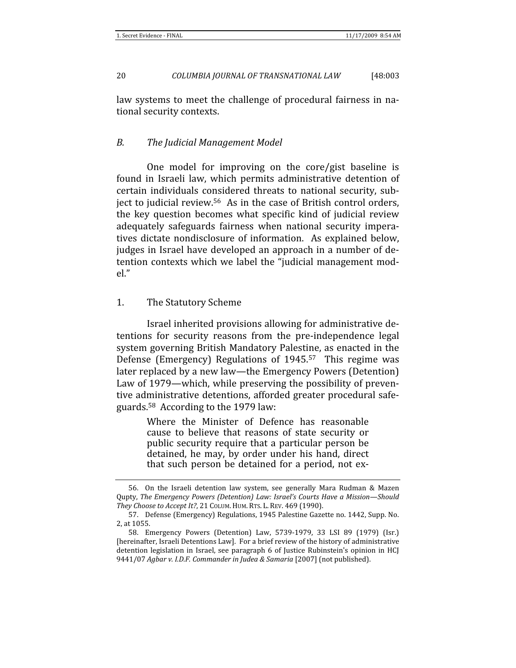law systems to meet the challenge of procedural fairness in national security contexts.

# *B. The Judicial Management Model*

One model for improving on the core/gist baseline is found in Israeli law, which permits administrative detention of certain individuals considered threats to national security, sub‐ ject to judicial review.56 As in the case of British control orders, the key question becomes what specific kind of judicial review adequately safeguards fairness when national security impera‐ tives dictate nondisclosure of information. As explained below, judges in Israel have developed an approach in a number of de‐ tention contexts which we label the "judicial management mod‐ el."

# 1. The Statutory Scheme

Israel inherited provisions allowing for administrative de‐ tentions for security reasons from the pre‐independence legal system governing British Mandatory Palestine, as enacted in the Defense (Emergency) Regulations of 1945.<sup>57</sup> This regime was later replaced by a new law—the Emergency Powers (Detention) Law of 1979—which, while preserving the possibility of preven‐ tive administrative detentions, afforded greater procedural safe‐ guards.58 According to the 1979 law:

> Where the Minister of Defence has reasonable cause to believe that reasons of state security or public security require that a particular person be detained, he may, by order under his hand, direct that such person be detained for a period, not ex-

<sup>56.</sup> On the Israeli detention law system, see generally Mara Rudman & Mazen Qupty, *The Emergency Powers (Detention) Law: Israel's Courts Have a Mission—Should They Choose to Accept It?*, 21 COLUM.HUM. RTS. L. REV. 469 (1990).

<sup>57.</sup> Defense (Emergency) Regulations, 1945 Palestine Gazette no. 1442, Supp. No. 2, at 1055.

<sup>58.</sup> Emergency Powers (Detention) Law, 5739‐1979, 33 LSI 89 (1979) (Isr.) [hereinafter, Israeli Detentions Law]. For a brief review of the history of administrative detention legislation in Israel, see paragraph 6 of Justice Rubinstein's opinion in HCJ 9441/07 *Agbar v. I.D.F. Commander in Judea & Samaria* [2007] (not published).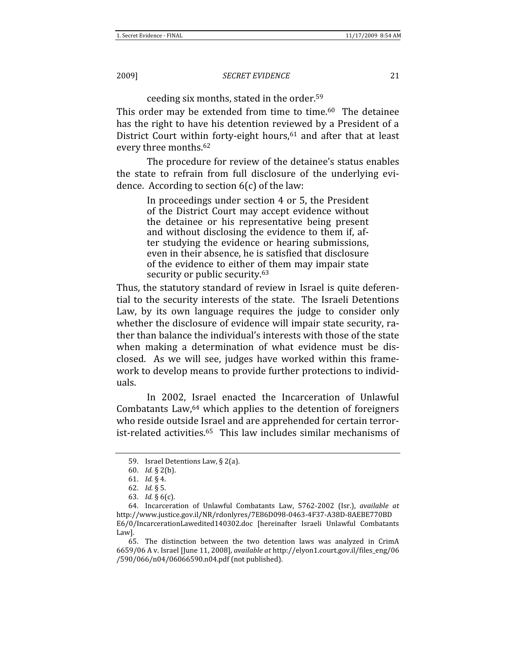ceeding six months, stated in the order.59

This order may be extended from time to time.<sup>60</sup> The detainee has the right to have his detention reviewed by a President of a District Court within forty-eight hours, $61$  and after that at least every three months.62

The procedure for review of the detainee's status enables the state to refrain from full disclosure of the underlying evi‐ dence. According to section 6(c) of the law:

> In proceedings under section 4 or 5, the President of the District Court may accept evidence without the detainee or his representative being present and without disclosing the evidence to them if, af‐ ter studying the evidence or hearing submissions, even in their absence, he is satisfied that disclosure of the evidence to either of them may impair state security or public security.<sup>63</sup>

Thus, the statutory standard of review in Israel is quite deferen‐ tial to the security interests of the state. The Israeli Detentions Law, by its own language requires the judge to consider only whether the disclosure of evidence will impair state security, rather than balance the individual's interests with those of the state when making a determination of what evidence must be disclosed. As we will see, judges have worked within this frame‐ work to develop means to provide further protections to individ‐ uals.

In 2002, Israel enacted the Incarceration of Unlawful Combatants Law.<sup>64</sup> which applies to the detention of foreigners who reside outside Israel and are apprehended for certain terror‐ ist-related activities.<sup>65</sup> This law includes similar mechanisms of

<sup>59.</sup> Israel Detentions Law, § 2(a).

<sup>60.</sup> *Id.* § 2(b).

<sup>61.</sup> *Id.* § 4.

<sup>62.</sup> *Id.* § 5.

<sup>63.</sup> *Id.* § 6(c).

<sup>64.</sup> Incarceration of Unlawful Combatants Law, 5762‐2002 (Isr.), *available at* http://www.justice.gov.il/NR/rdonlyres/7E86D098‐0463‐4F37‐A38D‐8AEBE770BD E6/0/IncarcerationLawedited140302.doc [hereinafter Israeli Unlawful Combatants Law].

<sup>65.</sup> The distinction between the two detention laws was analyzed in CrimA 6659/06 A v. Israel [June 11, 2008], *available at* http://elyon1.court.gov.il/files\_eng/06 /590/066/n04/06066590.n04.pdf (not published).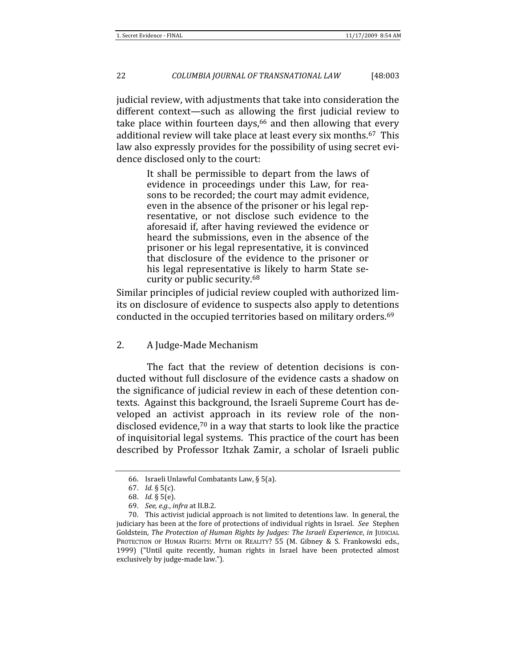judicial review, with adjustments that take into consideration the different context—such as allowing the first judicial review to take place within fourteen days, $66$  and then allowing that every additional review will take place at least every six months.<sup>67</sup> This law also expressly provides for the possibility of using secret evi‐ dence disclosed only to the court:

> It shall be permissible to depart from the laws of evidence in proceedings under this Law, for rea‐ sons to be recorded; the court may admit evidence, even in the absence of the prisoner or his legal rep‐ resentative, or not disclose such evidence to the aforesaid if, after having reviewed the evidence or heard the submissions, even in the absence of the prisoner or his legal representative, it is convinced that disclosure of the evidence to the prisoner or his legal representative is likely to harm State security or public security.68

Similar principles of judicial review coupled with authorized lim‐ its on disclosure of evidence to suspects also apply to detentions conducted in the occupied territories based on military orders.69

# 2. A Judge‐Made Mechanism

The fact that the review of detention decisions is conducted without full disclosure of the evidence casts a shadow on the significance of judicial review in each of these detention con‐ texts. Against this background, the Israeli Supreme Court has de‐ veloped an activist approach in its review role of the non‐ disclosed evidence,70 in a way that starts to look like the practice of inquisitorial legal systems. This practice of the court has been described by Professor Itzhak Zamir, a scholar of Israeli public

<sup>66.</sup> Israeli Unlawful Combatants Law, § 5(a).

<sup>67.</sup> *Id.* § 5(c).

<sup>68.</sup> *Id.* § 5(e).

<sup>69.</sup> *See, e.g.*, *infra* at II.B.2.

<sup>70.</sup> This activist judicial approach is not limited to detentions law. In general, the judiciary has been at the fore of protections of individual rights in Israel. *See*  Stephen Goldstein, *The Protection of Human Rights by Judges: The Israeli Experience*, *in* JUDICIAL PROTECTION OF HUMAN RIGHTS: MYTH OR REALITY? 55 (M. Gibney & S. Frankowski eds., 1999) ("Until quite recently, human rights in Israel have been protected almost exclusively by judge‐made law.").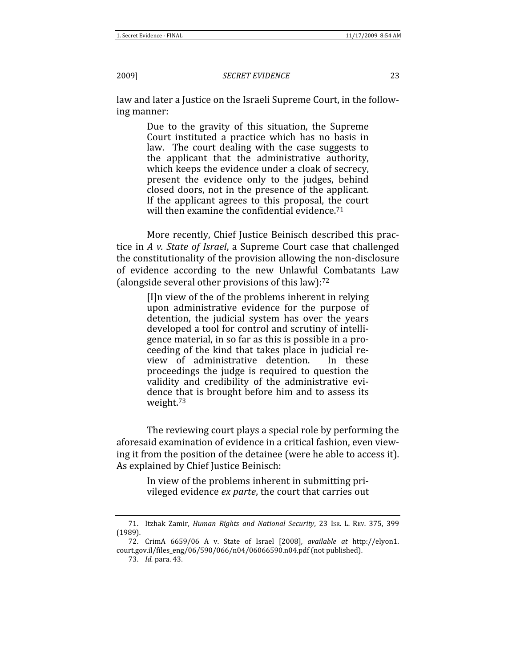law and later a Justice on the Israeli Supreme Court, in the follow‐ ing manner:

> Due to the gravity of this situation, the Supreme Court instituted a practice which has no basis in law. The court dealing with the case suggests to the applicant that the administrative authority, which keeps the evidence under a cloak of secrecy, present the evidence only to the judges, behind closed doors, not in the presence of the applicant. If the applicant agrees to this proposal, the court will then examine the confidential evidence.<sup>71</sup>

More recently, Chief Justice Beinisch described this practice in *A v. State of Israel*, a Supreme Court case that challenged the constitutionality of the provision allowing the non‐disclosure of evidence according to the new Unlawful Combatants Law (alongside several other provisions of this law):72

> [I]n view of the of the problems inherent in relying upon administrative evidence for the purpose of detention, the judicial system has over the years developed a tool for control and scrutiny of intelli‐ gence material, in so far as this is possible in a pro‐ ceeding of the kind that takes place in judicial re‐ view of administrative detention. In these proceedings the judge is required to question the validity and credibility of the administrative evi‐ dence that is brought before him and to assess its weight. 73

The reviewing court plays a special role by performing the aforesaid examination of evidence in a critical fashion, even view‐ ing it from the position of the detainee (were he able to access it). As explained by Chief Justice Beinisch:

> In view of the problems inherent in submitting privileged evidence *ex parte*, the court that carries out

73. *Id.* para. 43.

<sup>71.</sup> Itzhak Zamir, *Human Rights and National Security*, 23 ISR. L. REV. 375, 399 (1989).

<sup>72.</sup> CrimA 6659/06 A v. State of Israel [2008], *available at* http://elyon1. court.gov.il/files\_eng/06/590/066/n04/06066590.n04.pdf (not published).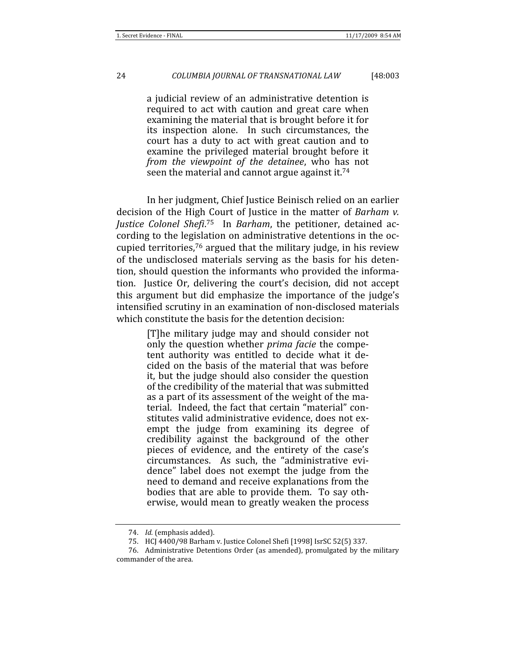a judicial review of an administrative detention is required to act with caution and great care when examining the material that is brought before it for its inspection alone. In such circumstances, the court has a duty to act with great caution and to examine the privileged material brought before it *from the viewpoint of the detainee*, who has not seen the material and cannot argue against it.74

In her judgment, Chief Justice Beinisch relied on an earlier decision of the High Court of Justice in the matter of *Barham v. Justice Colonel Shefi*. 75 In *Barham*, the petitioner, detained ac‐ cording to the legislation on administrative detentions in the oc‐ cupied territories, $76$  argued that the military judge, in his review of the undisclosed materials serving as the basis for his deten‐ tion, should question the informants who provided the informa‐ tion. Justice Or, delivering the court's decision, did not accept this argument but did emphasize the importance of the judge's intensified scrutiny in an examination of non‐disclosed materials which constitute the basis for the detention decision:

> [T]he military judge may and should consider not only the question whether *prima facie* the compe‐ tent authority was entitled to decide what it de‐ cided on the basis of the material that was before it, but the judge should also consider the question of the credibility of the material that was submitted as a part of its assessment of the weight of the ma‐ terial. Indeed, the fact that certain "material" con‐ stitutes valid administrative evidence, does not ex‐ empt the judge from examining its degree of credibility against the background of the other pieces of evidence, and the entirety of the case's circumstances. As such, the "administrative evi‐ dence" label does not exempt the judge from the need to demand and receive explanations from the bodies that are able to provide them. To say oth‐ erwise, would mean to greatly weaken the process

<sup>74.</sup> *Id.* (emphasis added).

<sup>75.</sup> HCJ 4400/98 Barham v. Justice Colonel Shefi [1998] IsrSC 52(5) 337.

<sup>76.</sup> Administrative Detentions Order (as amended), promulgated by the military commander of the area.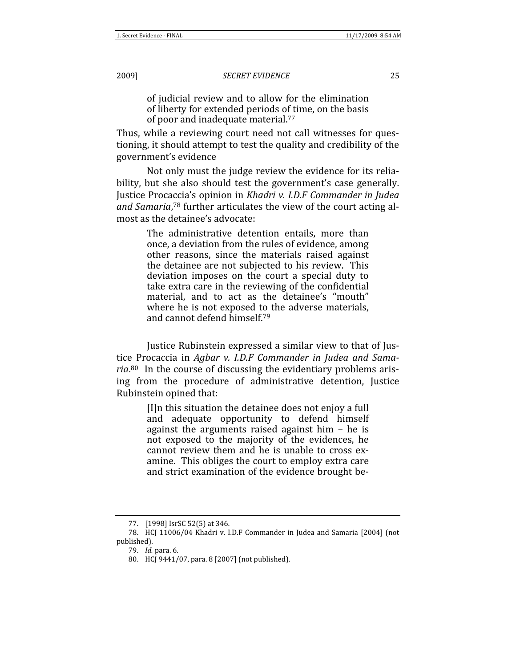of judicial review and to allow for the elimination of liberty for extended periods of time, on the basis of poor and inadequate material.77

Thus, while a reviewing court need not call witnesses for ques‐ tioning, it should attempt to test the quality and credibility of the government's evidence

Not only must the judge review the evidence for its relia‐ bility, but she also should test the government's case generally. Justice Procaccia's opinion in *Khadri v. I.D.F Commander in Judea and Samaria*, <sup>78</sup> further articulates the view of the court acting al‐ most as the detainee's advocate:

> The administrative detention entails, more than once, a deviation from the rules of evidence, among other reasons, since the materials raised against the detainee are not subjected to his review. This deviation imposes on the court a special duty to take extra care in the reviewing of the confidential material, and to act as the detainee's "mouth" where he is not exposed to the adverse materials. and cannot defend himself.79

Justice Rubinstein expressed a similar view to that of Jus‐ tice Procaccia in *Agbar v. I.D.F Commander in Judea and Sama‐ ria*. 80 In the course of discussing the evidentiary problems aris‐ ing from the procedure of administrative detention, Justice Rubinstein opined that:

> [I]n this situation the detainee does not enjoy a full and adequate opportunity to defend himself against the arguments raised against him – he is not exposed to the majority of the evidences, he cannot review them and he is unable to cross examine. This obliges the court to employ extra care and strict examination of the evidence brought be‐

<sup>77.</sup> [1998] IsrSC 52(5) at 346.

<sup>78.</sup> HCJ 11006/04 Khadri v. I.D.F Commander in Judea and Samaria [2004] (not published).

<sup>79.</sup> *Id.* para. 6.

<sup>80.</sup> HCJ 9441/07, para. 8 [2007] (not published).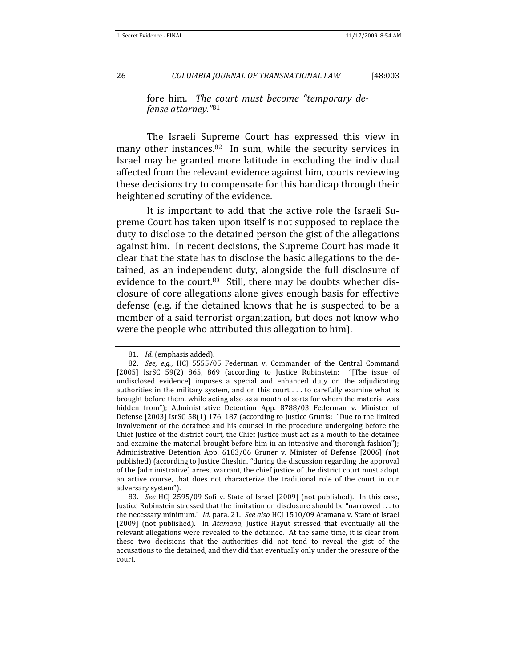fore him. *The court must become "temporary de‐ fense attorney."*<sup>81</sup>

The Israeli Supreme Court has expressed this view in many other instances. $82$  In sum, while the security services in Israel may be granted more latitude in excluding the individual affected from the relevant evidence against him, courts reviewing these decisions try to compensate for this handicap through their heightened scrutiny of the evidence.

It is important to add that the active role the Israeli Su‐ preme Court has taken upon itself is not supposed to replace the duty to disclose to the detained person the gist of the allegations against him. In recent decisions, the Supreme Court has made it clear that the state has to disclose the basic allegations to the de‐ tained, as an independent duty, alongside the full disclosure of evidence to the court.<sup>83</sup> Still, there may be doubts whether disclosure of core allegations alone gives enough basis for effective defense (e.g. if the detained knows that he is suspected to be a member of a said terrorist organization, but does not know who were the people who attributed this allegation to him).

<sup>81.</sup> *Id.* (emphasis added).

<sup>82.</sup> *See, e.g.*, HCJ 5555/05 Federman v. Commander of the Central Command [2005] IsrSC 59(2) 865, 869 (according to Justice Rubinstein: "[The issue of undisclosed evidence] imposes a special and enhanced duty on the adjudicating authorities in the military system, and on this court . . . to carefully examine what is brought before them, while acting also as a mouth of sorts for whom the material was hidden from"); Administrative Detention App. 8788/03 Federman v. Minister of Defense [2003] IsrSC 58(1) 176, 187 (according to Justice Grunis: "Due to the limited involvement of the detainee and his counsel in the procedure undergoing before the Chief Justice of the district court, the Chief Justice must act as a mouth to the detainee and examine the material brought before him in an intensive and thorough fashion"); Administrative Detention App. 6183/06 Gruner v. Minister of Defense [2006] (not published) (according to Justice Cheshin, "during the discussion regarding the approval of the [administrative] arrest warrant, the chief justice of the district court must adopt an active course, that does not characterize the traditional role of the court in our adversary system").

<sup>83.</sup> *See* HCJ 2595/09 Sofi v. State of Israel [2009] (not published). In this case, Justice Rubinstein stressed that the limitation on disclosure should be "narrowed . . . to the necessary minimum." *Id.* para. 21. *See also* HCJ 1510/09 Atamana v. State of Israel [2009] (not published). In Atamana, Justice Hayut stressed that eventually all the relevant allegations were revealed to the detainee. At the same time, it is clear from these two decisions that the authorities did not tend to reveal the gist of the accusations to the detained, and they did that eventually only under the pressure of the court.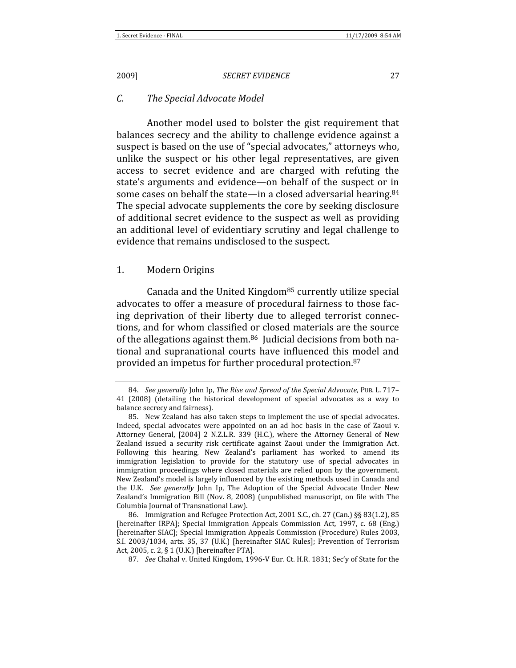# *C. The Special Advocate Model*

Another model used to bolster the gist requirement that balances secrecy and the ability to challenge evidence against a suspect is based on the use of "special advocates," attorneys who, unlike the suspect or his other legal representatives, are given access to secret evidence and are charged with refuting the state's arguments and evidence—on behalf of the suspect or in some cases on behalf the state—in a closed adversarial hearing.<sup>84</sup> The special advocate supplements the core by seeking disclosure of additional secret evidence to the suspect as well as providing an additional level of evidentiary scrutiny and legal challenge to evidence that remains undisclosed to the suspect.

# 1. Modern Origins

Canada and the United Kingdom $85$  currently utilize special advocates to offer a measure of procedural fairness to those fac‐ ing deprivation of their liberty due to alleged terrorist connec‐ tions, and for whom classified or closed materials are the source of the allegations against them.86 Judicial decisions from both na‐ tional and supranational courts have influenced this model and provided an impetus for further procedural protection.87

<sup>84.</sup> *See generally* John Ip, *The Rise and Spread of the Special Advocate*, PUB. L. 717– 41 (2008) (detailing the historical development of special advocates as a way to balance secrecy and fairness).

<sup>85.</sup> New Zealand has also taken steps to implement the use of special advocates. Indeed, special advocates were appointed on an ad hoc basis in the case of Zaoui v. Attorney General, [2004] 2 N.Z.L.R. 339 (H.C.), where the Attorney General of New Zealand issued a security risk certificate against Zaoui under the Immigration Act. Following this hearing, New Zealand's parliament has worked to amend its immigration legislation to provide for the statutory use of special advocates in immigration proceedings where closed materials are relied upon by the government. New Zealand's model is largely influenced by the existing methods used in Canada and the U.K. *See generally*  John Ip, The Adoption of the Special Advocate Under New Zealand's Immigration Bill (Nov. 8, 2008) (unpublished manuscript, on file with The Columbia Journal of Transnational Law).

<sup>86.</sup> Immigration and Refugee Protection Act, 2001 S.C., ch. 27 (Can.) §§ 83(1.2), 85 [hereinafter IRPA]; Special Immigration Appeals Commission Act, 1997, c. 68 (Eng.) [hereinafter SIAC]; Special Immigration Appeals Commission (Procedure) Rules 2003, S.I. 2003/1034, arts. 35, 37 (U.K.) [hereinafter SIAC Rules]; Prevention of Terrorism Act, 2005, c. 2, § 1 (U.K.) [hereinafter PTA].

<sup>87.</sup> *See* Chahal v. United Kingdom, 1996‐V Eur. Ct. H.R. 1831; Sec'y of State for the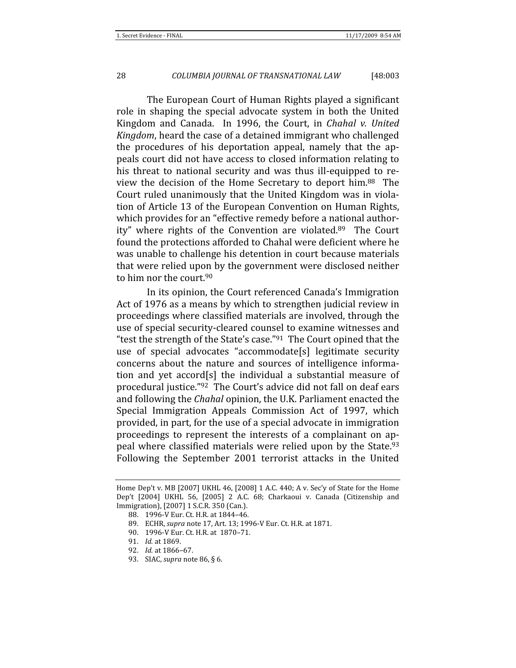The European Court of Human Rights played a significant role in shaping the special advocate system in both the United Kingdom and Canada. In 1996, the Court, in *Chahal v. United Kingdom*, heard the case of a detained immigrant who challenged the procedures of his deportation appeal, namely that the ap‐ peals court did not have access to closed information relating to his threat to national security and was thus ill-equipped to review the decision of the Home Secretary to deport him.88 The Court ruled unanimously that the United Kingdom was in viola‐ tion of Article 13 of the European Convention on Human Rights, which provides for an "effective remedy before a national authority" where rights of the Convention are violated.<sup>89</sup> The Court found the protections afforded to Chahal were deficient where he was unable to challenge his detention in court because materials that were relied upon by the government were disclosed neither to him nor the court.<sup>90</sup>

In its opinion, the Court referenced Canada's Immigration Act of 1976 as a means by which to strengthen judicial review in proceedings where classified materials are involved, through the use of special security‐cleared counsel to examine witnesses and "test the strength of the State's case."91 The Court opined that the use of special advocates "accommodate[s] legitimate security concerns about the nature and sources of intelligence informa‐ tion and yet accord[s] the individual a substantial measure of procedural justice."92 The Court's advice did not fall on deaf ears and following the *Chahal* opinion, the U.K. Parliament enacted the Special Immigration Appeals Commission Act of 1997, which provided, in part, for the use of a special advocate in immigration proceedings to represent the interests of a complainant on appeal where classified materials were relied upon by the State.<sup>93</sup> Following the September 2001 terrorist attacks in the United

Home Dep't v. MB [2007] UKHL 46, [2008] 1 A.C. 440; A v. Sec'y of State for the Home Dep't [2004] UKHL 56, [2005] 2 A.C. 68; Charkaoui v. Canada (Citizenship and Immigration), [2007] 1 S.C.R. 350 (Can.).

<sup>88.</sup> 1996‐V Eur. Ct. H.R. at 1844–46.

<sup>89.</sup> ECHR, *supra* note 17, Art. 13; 1996‐V Eur. Ct. H.R. at 1871.

<sup>90.</sup> 1996‐V Eur. Ct. H.R. at 1870–71.

<sup>91.</sup> *Id.* at 1869.

<sup>92.</sup> *Id.* at 1866–67.

<sup>93.</sup> SIAC, *supra* note 86, § 6.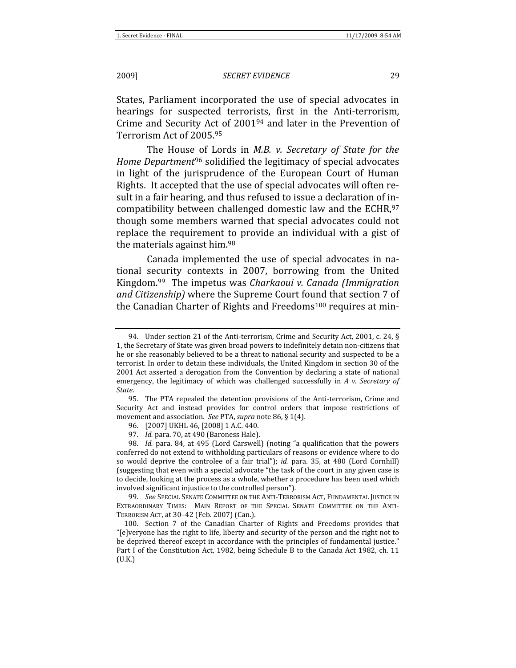States, Parliament incorporated the use of special advocates in hearings for suspected terrorists, first in the Anti-terrorism, Crime and Security Act of 200194 and later in the Prevention of Terrorism Act of 2005.95

The House of Lords in *M.B. v. Secretary of State for the Home Department*<sup>96</sup> solidified the legitimacy of special advocates in light of the jurisprudence of the European Court of Human Rights. It accepted that the use of special advocates will often re‐ sult in a fair hearing, and thus refused to issue a declaration of in‐ compatibility between challenged domestic law and the ECHR,97 though some members warned that special advocates could not replace the requirement to provide an individual with a gist of the materials against him.98

Canada implemented the use of special advocates in na‐ tional security contexts in 2007, borrowing from the United Kingdom.99 The impetus was *Charkaoui v. Canada (Immigration and Citizenship)* where the Supreme Court found that section 7 of the Canadian Charter of Rights and Freedoms<sup>100</sup> requires at min-

<sup>94.</sup> Under section 21 of the Anti-terrorism, Crime and Security Act, 2001, c. 24, § 1, the Secretary of State was given broad powers to indefinitely detain non‐citizens that he or she reasonably believed to be a threat to national security and suspected to be a terrorist. In order to detain these individuals, the United Kingdom in section 30 of the 2001 Act asserted a derogation from the Convention by declaring a state of national emergency, the legitimacy of which was challenged successfully in *A v. Secretary of State*.

<sup>95.</sup> The PTA repealed the detention provisions of the Anti-terrorism, Crime and Security Act and instead provides for control orders that impose restrictions of movement and association. *See* PTA, *supra* note 86, § 1(4).

<sup>96.</sup> [2007] UKHL 46, [2008] 1 A.C. 440.

<sup>97.</sup> *Id.* para. 70, at 490 (Baroness Hale).

<sup>98.</sup> *Id.* para. 84, at 495 (Lord Carswell) (noting "a qualification that the powers conferred do not extend to withholding particulars of reasons or evidence where to do so would deprive the controlee of a fair trial"); *id.* para. 35, at 480 (Lord Cornhill) (suggesting that even with a special advocate "the task of the court in any given case is to decide, looking at the process as a whole, whether a procedure has been used which involved significant injustice to the controlled person").

<sup>99.</sup> *See* SPECIAL SENATE COMMITTEE ON THE ANTI‐TERRORISM ACT, FUNDAMENTAL JUSTICE IN EXTRAORDINARY TIMES: MAIN REPORT OF THE SPECIAL SENATE COMMITTEE ON THE ANTI-TERRORISM ACT, at 30–42 (Feb. 2007) (Can.).

<sup>100.</sup> Section 7 of the Canadian Charter of Rights and Freedoms provides that "[e]veryone has the right to life, liberty and security of the person and the right not to be deprived thereof except in accordance with the principles of fundamental justice." Part I of the Constitution Act, 1982, being Schedule B to the Canada Act 1982, ch. 11 (U.K.)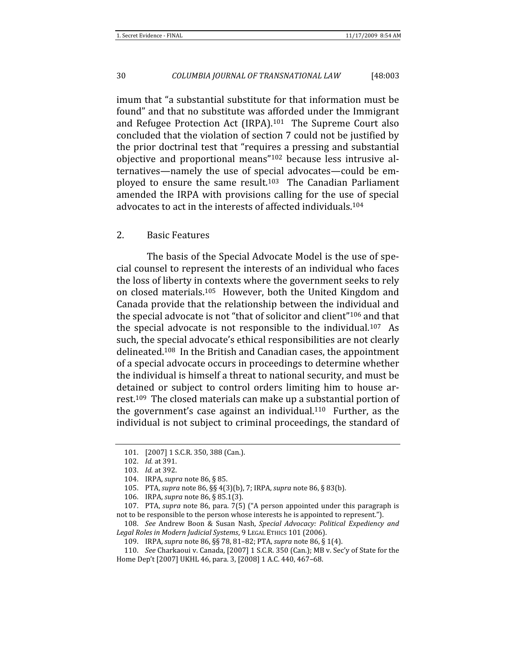imum that "a substantial substitute for that information must be found" and that no substitute was afforded under the Immigrant and Refugee Protection Act (IRPA).<sup>101</sup> The Supreme Court also concluded that the violation of section 7 could not be justified by the prior doctrinal test that "requires a pressing and substantial objective and proportional means"102 because less intrusive al‐ ternatives—namely the use of special advocates—could be em‐ ployed to ensure the same result.<sup>103</sup> The Canadian Parliament amended the IRPA with provisions calling for the use of special advocates to act in the interests of affected individuals.<sup>104</sup>

# 2. Basic Features

The basis of the Special Advocate Model is the use of spe‐ cial counsel to represent the interests of an individual who faces the loss of liberty in contexts where the government seeks to rely on closed materials.<sup>105</sup> However, both the United Kingdom and Canada provide that the relationship between the individual and the special advocate is not "that of solicitor and client"106 and that the special advocate is not responsible to the individual.<sup>107</sup> As such, the special advocate's ethical responsibilities are not clearly delineated.108 In the British and Canadian cases, the appointment of a special advocate occurs in proceedings to determine whether the individual is himself a threat to national security, and must be detained or subject to control orders limiting him to house ar‐ rest.109 The closed materials can make up a substantial portion of the government's case against an individual.<sup>110</sup> Further, as the individual is not subject to criminal proceedings, the standard of

<sup>101.</sup> [2007] 1 S.C.R. 350, 388 (Can.).

<sup>102.</sup> *Id.* at 391.

<sup>103.</sup> *Id.* at 392.

<sup>104.</sup> IRPA, *supra* note 86, § 85.

<sup>105.</sup> PTA, *supra* note 86, §§ 4(3)(b), 7; IRPA, *supra* note 86, § 83(b).

<sup>106.</sup> IRPA, *supra* note 86, § 85.1(3).

<sup>107.</sup> PTA, *supra* note 86, para. 7(5) ("A person appointed under this paragraph is not to be responsible to the person whose interests he is appointed to represent.").

<sup>108.</sup> *See* Andrew Boon & Susan Nash, *Special Advocacy: Political Expediency and Legal Roles in Modern Judicial Systems*, 9 LEGAL ETHICS 101 (2006).

<sup>109.</sup> IRPA, *supra* note 86, §§ 78, 81–82; PTA, *supra* note 86, § 1(4).

<sup>110.</sup> *See* Charkaoui v. Canada, [2007] 1 S.C.R. 350 (Can.); MB v. Sec'y of State for the Home Dep't [2007] UKHL 46, para. 3, [2008] 1 A.C. 440, 467–68.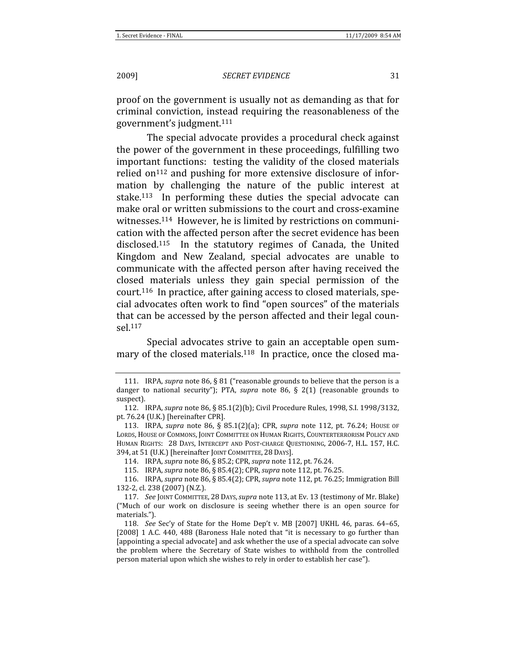proof on the government is usually not as demanding as that for criminal conviction, instead requiring the reasonableness of the government's judgment.111

The special advocate provides a procedural check against the power of the government in these proceedings, fulfilling two important functions: testing the validity of the closed materials relied  $\text{on}^{112}$  and pushing for more extensive disclosure of information by challenging the nature of the public interest at stake.<sup>113</sup> In performing these duties the special advocate can make oral or written submissions to the court and cross-examine witnesses.<sup>114</sup> However, he is limited by restrictions on communication with the affected person after the secret evidence has been disclosed.<sup>115</sup> In the statutory regimes of Canada, the United Kingdom and New Zealand, special advocates are unable to communicate with the affected person after having received the closed materials unless they gain special permission of the court.116 In practice, after gaining access to closed materials, spe‐ cial advocates often work to find "open sources" of the materials that can be accessed by the person affected and their legal coun‐ sel.117

Special advocates strive to gain an acceptable open summary of the closed materials.<sup>118</sup> In practice, once the closed ma-

<sup>111.</sup> IRPA, *supra* note 86, § 81 ("reasonable grounds to believe that the person is a danger to national security"); PTA, *supra*  note 86, § 2(1) (reasonable grounds to suspect).

<sup>112.</sup> IRPA, *supra* note 86, § 85.1(2)(b); Civil Procedure Rules, 1998, S.I. 1998/3132, pt. 76.24 (U.K.) [hereinafter CPR].

<sup>113.</sup> IRPA, *supra*  note 86, § 85.1(2)(a); CPR, *supra*  note 112, pt. 76.24; HOUSE OF LORDS, HOUSE OF COMMONS, JOINT COMMITTEE ON HUMAN RIGHTS, COUNTERTERRORISM POLICY AND HUMAN RIGHTS: 28 DAYS, INTERCEPT AND POST‐CHARGE QUESTIONING, 2006‐7, H.L. 157, H.C. 394, at 51 (U.K.) [hereinafter JOINT COMMITTEE, 28 DAYS].

<sup>114.</sup> IRPA, *supra* note 86, § 85.2; CPR, *supra* note 112, pt. 76.24.

<sup>115.</sup> IRPA, *supra* note 86, § 85.4(2); CPR, *supra* note 112, pt. 76.25.

<sup>116.</sup> IRPA, *supra* note 86, § 85.4(2); CPR, *supra* note 112, pt. 76.25; Immigration Bill 132‐2, cl. 238 (2007) (N.Z.).

<sup>117.</sup> *See* JOINT COMMITTEE, 28 DAYS,*supra* note 113, at Ev. 13 (testimony of Mr. Blake) ("Much of our work on disclosure is seeing whether there is an open source for materials.").

<sup>118.</sup> *See* Sec'y of State for the Home Dep't v. MB [2007] UKHL 46, paras. 64–65, [2008] 1 A.C. 440, 488 (Baroness Hale noted that "it is necessary to go further than [appointing a special advocate] and ask whether the use of a special advocate can solve the problem where the Secretary of State wishes to withhold from the controlled person material upon which she wishes to rely in order to establish her case").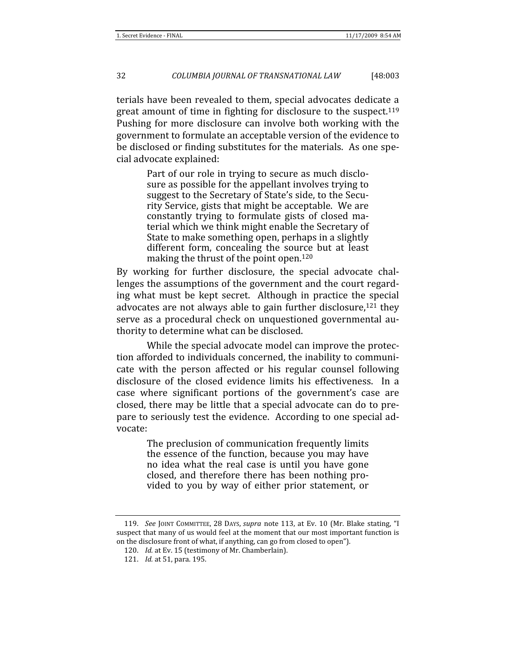terials have been revealed to them, special advocates dedicate a great amount of time in fighting for disclosure to the suspect.<sup>119</sup> Pushing for more disclosure can involve both working with the government to formulate an acceptable version of the evidence to be disclosed or finding substitutes for the materials. As one spe‐ cial advocate explained:

> Part of our role in trying to secure as much disclo‐ sure as possible for the appellant involves trying to suggest to the Secretary of State's side, to the Secu‐ rity Service, gists that might be acceptable. We are constantly trying to formulate gists of closed ma‐ terial which we think might enable the Secretary of State to make something open, perhaps in a slightly different form, concealing the source but at least making the thrust of the point open.<sup>120</sup>

By working for further disclosure, the special advocate chal‐ lenges the assumptions of the government and the court regard‐ ing what must be kept secret. Although in practice the special advocates are not always able to gain further disclosure, $121$  they serve as a procedural check on unquestioned governmental authority to determine what can be disclosed.

While the special advocate model can improve the protection afforded to individuals concerned, the inability to communi‐ cate with the person affected or his regular counsel following disclosure of the closed evidence limits his effectiveness. In a case where significant portions of the government's case are closed, there may be little that a special advocate can do to pre‐ pare to seriously test the evidence. According to one special ad‐ vocate:

> The preclusion of communication frequently limits the essence of the function, because you may have no idea what the real case is until you have gone closed, and therefore there has been nothing pro‐ vided to you by way of either prior statement, or

<sup>119.</sup> *See* JOINT COMMITTEE, 28 DAYS, *supra* note 113, at Ev. 10 (Mr. Blake stating, "I suspect that many of us would feel at the moment that our most important function is on the disclosure front of what, if anything, can go from closed to open").

<sup>120.</sup> *Id.* at Ev. 15 (testimony of Mr. Chamberlain).

<sup>121.</sup> *Id.* at 51, para. 195.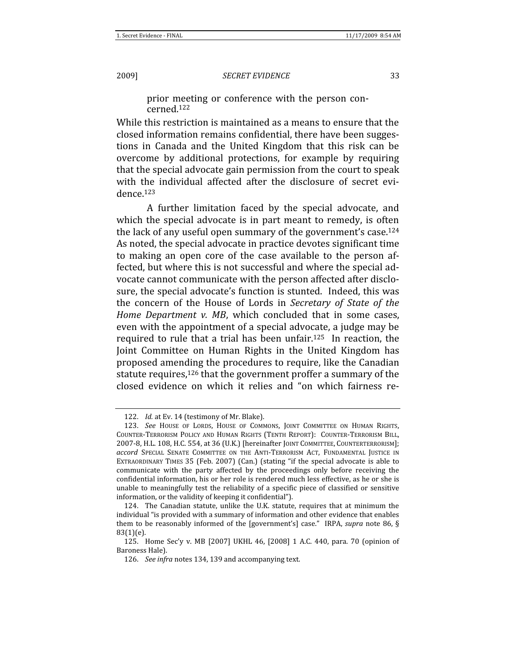prior meeting or conference with the person con‐ cerned.122

While this restriction is maintained as a means to ensure that the closed information remains confidential, there have been sugges‐ tions in Canada and the United Kingdom that this risk can be overcome by additional protections, for example by requiring that the special advocate gain permission from the court to speak with the individual affected after the disclosure of secret evidence. 123

A further limitation faced by the special advocate, and which the special advocate is in part meant to remedy, is often the lack of any useful open summary of the government's case.124 As noted, the special advocate in practice devotes significant time to making an open core of the case available to the person af‐ fected, but where this is not successful and where the special ad‐ vocate cannot communicate with the person affected after disclo‐ sure, the special advocate's function is stunted. Indeed, this was the concern of the House of Lords in *Secretary of State of the Home Department v. MB*, which concluded that in some cases, even with the appointment of a special advocate, a judge may be required to rule that a trial has been unfair.<sup>125</sup> In reaction, the Joint Committee on Human Rights in the United Kingdom has proposed amending the procedures to require, like the Canadian statute requires,<sup>126</sup> that the government proffer a summary of the closed evidence on which it relies and "on which fairness re‐

<sup>122.</sup> *Id.* at Ev. 14 (testimony of Mr. Blake).

<sup>123.</sup> *See* HOUSE OF LORDS, HOUSE OF COMMONS, JOINT COMMITTEE ON HUMAN RIGHTS, COUNTER‐TERRORISM POLICY AND HUMAN RIGHTS (TENTH REPORT): COUNTER‐TERRORISM BILL, 2007‐8, H.L. 108, H.C. 554, at 36 (U.K.) [hereinafter JOINT COMMITTEE, COUNTERTERRORISM]; *accord* SPECIAL SENATE COMMITTEE ON THE ANTI‐TERRORISM ACT, FUNDAMENTAL JUSTICE IN EXTRAORDINARY TIMES 35 (Feb. 2007) (Can.) (stating "if the special advocate is able to communicate with the party affected by the proceedings only before receiving the confidential information, his or her role is rendered much less effective, as he or she is unable to meaningfully test the reliability of a specific piece of classified or sensitive information, or the validity of keeping it confidential").

<sup>124.</sup> The Canadian statute, unlike the U.K. statute, requires that at minimum the individual "is provided with a summary of information and other evidence that enables them to be reasonably informed of the [government's] case." IRPA, *supra* note 86, § 83(1)(e).

<sup>125.</sup> Home Sec'y v. MB [2007] UKHL 46, [2008] 1 A.C. 440, para. 70 (opinion of Baroness Hale).

<sup>126.</sup> *See infra* notes 134, 139 and accompanying text.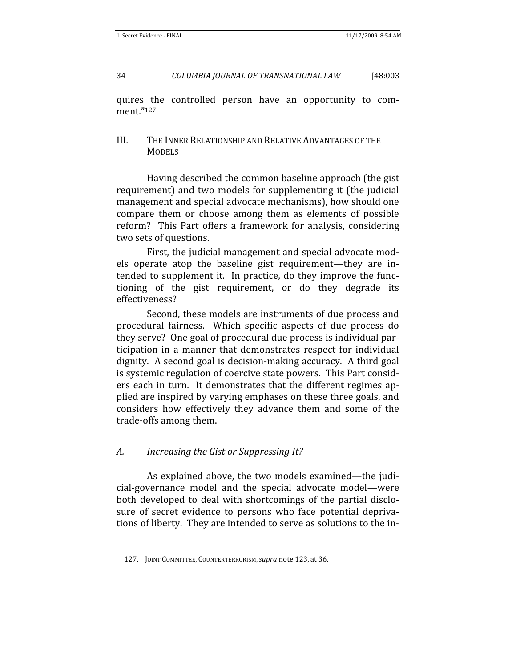quires the controlled person have an opportunity to com‐ ment."127

# III. THE INNER RELATIONSHIP AND RELATIVE ADVANTAGES OF THE **MODELS**

Having described the common baseline approach (the gist requirement) and two models for supplementing it (the judicial management and special advocate mechanisms), how should one compare them or choose among them as elements of possible reform? This Part offers a framework for analysis, considering two sets of questions.

First, the judicial management and special advocate mod‐ els operate atop the baseline gist requirement—they are in‐ tended to supplement it. In practice, do they improve the func‐ tioning of the gist requirement, or do they degrade its effectiveness?

Second, these models are instruments of due process and procedural fairness. Which specific aspects of due process do they serve? One goal of procedural due process is individual par‐ ticipation in a manner that demonstrates respect for individual dignity. A second goal is decision‐making accuracy. A third goal is systemic regulation of coercive state powers. This Part consid‐ ers each in turn. It demonstrates that the different regimes applied are inspired by varying emphases on these three goals, and considers how effectively they advance them and some of the trade‐offs among them.

# *A. Increasing the Gist or Suppressing It?*

As explained above, the two models examined—the judi‐ cial‐governance model and the special advocate model—were both developed to deal with shortcomings of the partial disclosure of secret evidence to persons who face potential deprivations of liberty. They are intended to serve as solutions to the in‐

<sup>127.</sup> JOINT COMMITTEE, COUNTERTERRORISM,*supra* note 123, at 36.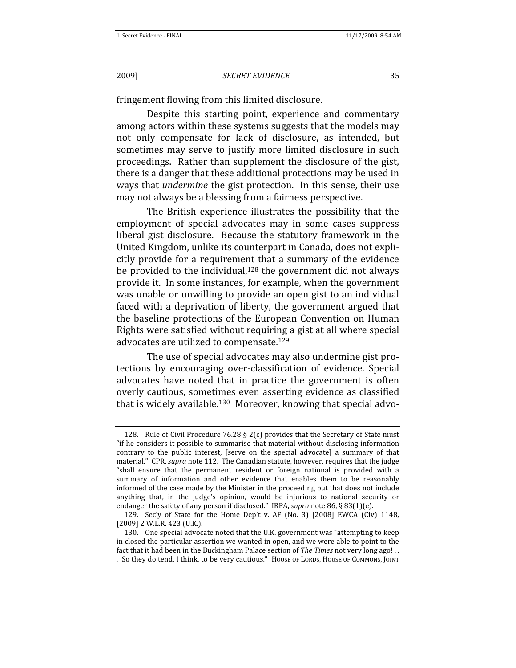fringement flowing from this limited disclosure.

Despite this starting point, experience and commentary among actors within these systems suggests that the models may not only compensate for lack of disclosure, as intended, but sometimes may serve to justify more limited disclosure in such proceedings. Rather than supplement the disclosure of the gist, there is a danger that these additional protections may be used in ways that *undermine* the gist protection. In this sense, their use may not always be a blessing from a fairness perspective.

The British experience illustrates the possibility that the employment of special advocates may in some cases suppress liberal gist disclosure. Because the statutory framework in the United Kingdom, unlike its counterpart in Canada, does not expli‐ citly provide for a requirement that a summary of the evidence be provided to the individual, $128$  the government did not always provide it. In some instances, for example, when the government was unable or unwilling to provide an open gist to an individual faced with a deprivation of liberty, the government argued that the baseline protections of the European Convention on Human Rights were satisfied without requiring a gist at all where special advocates are utilized to compensate.<sup>129</sup>

The use of special advocates may also undermine gist pro‐ tections by encouraging over‐classification of evidence. Special advocates have noted that in practice the government is often overly cautious, sometimes even asserting evidence as classified that is widely available.<sup>130</sup> Moreover, knowing that special advo-

<sup>128.</sup> Rule of Civil Procedure 76.28 § 2(c) provides that the Secretary of State must "if he considers it possible to summarise that material without disclosing information contrary to the public interest, [serve on the special advocate] a summary of that material." CPR, *supra* note 112. The Canadian statute, however, requires that the judge "shall ensure that the permanent resident or foreign national is provided with a summary of information and other evidence that enables them to be reasonably informed of the case made by the Minister in the proceeding but that does not include anything that, in the judge's opinion, would be injurious to national security or endanger the safety of any person if disclosed." IRPA, *supra* note 86, § 83(1)(e).

<sup>129.</sup> Sec'y of State for the Home Dep't v. AF (No. 3) [2008] EWCA (Civ) 1148, [2009] 2 W.L.R. 423 (U.K.).

<sup>130.</sup> One special advocate noted that the U.K. government was "attempting to keep in closed the particular assertion we wanted in open, and we were able to point to the fact that it had been in the Buckingham Palace section of *The Times* not very long ago! . . . So they do tend, I think, to be very cautious." HOUSE OF LORDS, HOUSE OF COMMONS, JOINT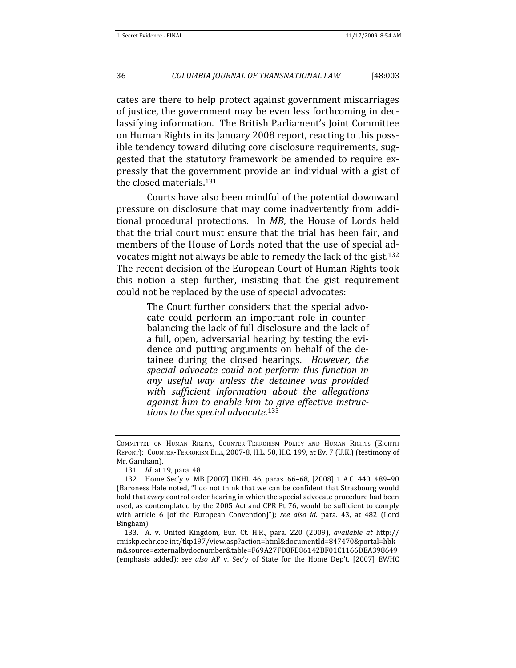cates are there to help protect against government miscarriages of justice, the government may be even less forthcoming in dec‐ lassifying information. The British Parliament's Joint Committee on Human Rights in its January 2008 report, reacting to this poss‐ ible tendency toward diluting core disclosure requirements, suggested that the statutory framework be amended to require ex‐ pressly that the government provide an individual with a gist of the closed materials.131

Courts have also been mindful of the potential downward pressure on disclosure that may come inadvertently from addi‐ tional procedural protections. In *MB*, the House of Lords held that the trial court must ensure that the trial has been fair, and members of the House of Lords noted that the use of special ad‐ vocates might not always be able to remedy the lack of the gist.132 The recent decision of the European Court of Human Rights took this notion a step further, insisting that the gist requirement could not be replaced by the use of special advocates:

> The Court further considers that the special advocate could perform an important role in counter‐ balancing the lack of full disclosure and the lack of a full, open, adversarial hearing by testing the evi‐ dence and putting arguments on behalf of the de‐ tainee during the closed hearings. *However, the special advocate could not perform this function in any useful way unless the detainee was provided with sufficient information about the allegations against him to enable him to give effective instruc‐ tions to the special advocate*. 133

133. A. v. United Kingdom, Eur. Ct. H.R., para. 220 (2009), *available at* http:// cmiskp.echr.coe.int/tkp197/view.asp?action=html&documentId=847470&portal=hbk m&source=externalbydocnumber&table=F69A27FD8FB86142BF01C1166DEA398649 (emphasis added); *see also* AF v. Sec'y of State for the Home Dep't, [2007] EWHC

COMMITTEE ON HUMAN RIGHTS, COUNTER‐TERRORISM POLICY AND HUMAN RIGHTS (EIGHTH REPORT): COUNTER‐TERRORISM BILL, 2007‐8, H.L. 50, H.C. 199, at Ev. 7 (U.K.) (testimony of Mr. Garnham).

<sup>131.</sup> *Id.* at 19, para. 48.

<sup>132.</sup> Home Sec'y v. MB [2007] UKHL 46, paras. 66–68*,* [2008] 1 A.C. 440, 489–90 (Baroness Hale noted, "I do not think that we can be confident that Strasbourg would hold that *every* control order hearing in which the special advocate procedure had been used, as contemplated by the 2005 Act and CPR Pt 76, would be sufficient to comply with article 6 [of the European Convention]"); *see also id.* para. 43, at 482 (Lord Bingham).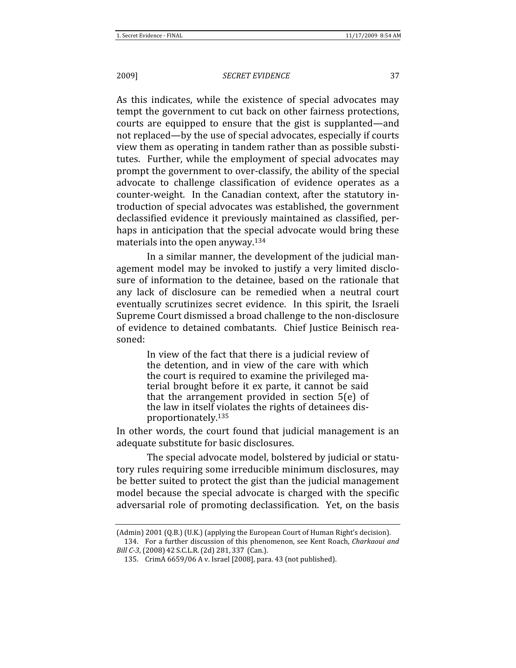As this indicates, while the existence of special advocates may tempt the government to cut back on other fairness protections, courts are equipped to ensure that the gist is supplanted—and not replaced—by the use of special advocates, especially if courts view them as operating in tandem rather than as possible substi‐ tutes. Further, while the employment of special advocates may prompt the government to over‐classify, the ability of the special advocate to challenge classification of evidence operates as a counter-weight. In the Canadian context, after the statutory introduction of special advocates was established, the government declassified evidence it previously maintained as classified, per‐ haps in anticipation that the special advocate would bring these materials into the open anyway.134

In a similar manner, the development of the judicial man‐ agement model may be invoked to justify a very limited disclo‐ sure of information to the detainee, based on the rationale that any lack of disclosure can be remedied when a neutral court eventually scrutinizes secret evidence. In this spirit, the Israeli Supreme Court dismissed a broad challenge to the non‐disclosure of evidence to detained combatants. Chief Justice Beinisch rea‐ soned:

> In view of the fact that there is a judicial review of the detention, and in view of the care with which the court is required to examine the privileged ma‐ terial brought before it ex parte, it cannot be said that the arrangement provided in section  $5(e)$  of the law in itself violates the rights of detainees dis‐ proportionately.135

In other words, the court found that judicial management is an adequate substitute for basic disclosures.

The special advocate model, bolstered by judicial or statu‐ tory rules requiring some irreducible minimum disclosures, may be better suited to protect the gist than the judicial management model because the special advocate is charged with the specific adversarial role of promoting declassification. Yet, on the basis

<sup>(</sup>Admin) 2001 (Q.B.) (U.K.) (applying the European Court of Human Right's decision).

<sup>134.</sup> For a further discussion of this phenomenon, see Kent Roach, *Charkaoui and Bill C‐3*, (2008) 42 S.C.L.R.(2d) 281, 337 (Can.).

<sup>135.</sup> CrimA 6659/06 A v. Israel [2008], para. 43 (not published).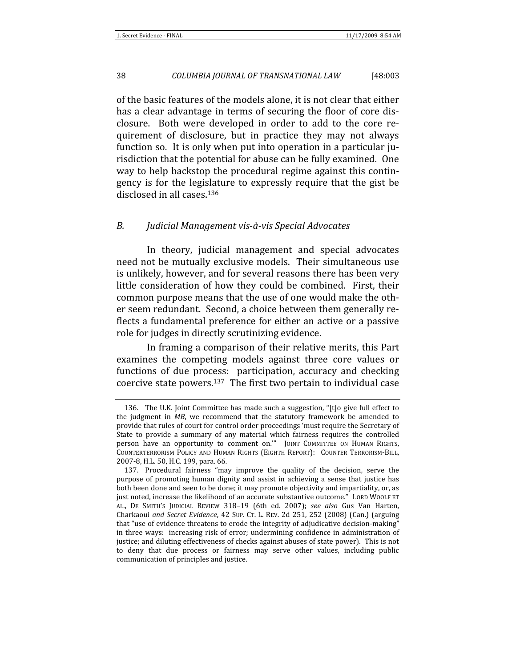of the basic features of the models alone, it is not clear that either has a clear advantage in terms of securing the floor of core disclosure. Both were developed in order to add to the core requirement of disclosure, but in practice they may not always function so. It is only when put into operation in a particular jurisdiction that the potential for abuse can be fully examined. One way to help backstop the procedural regime against this contingency is for the legislature to expressly require that the gist be disclosed in all cases.136

# *B. Judicial Management vis‐à‐vis Special Advocates*

In theory, judicial management and special advocates need not be mutually exclusive models. Their simultaneous use is unlikely, however, and for several reasons there has been very little consideration of how they could be combined. First, their common purpose means that the use of one would make the oth‐ er seem redundant. Second, a choice between them generally re‐ flects a fundamental preference for either an active or a passive role for judges in directly scrutinizing evidence.

In framing a comparison of their relative merits, this Part examines the competing models against three core values or functions of due process: participation, accuracy and checking coercive state powers.<sup>137</sup> The first two pertain to individual case

<sup>136.</sup> The U.K. Joint Committee has made such a suggestion, "[t]o give full effect to the judgment in *MB*, we recommend that the statutory framework be amended to provide that rules of court for control order proceedings 'must require the Secretary of State to provide a summary of any material which fairness requires the controlled person have an opportunity to comment on.'" JOINT COMMITTEE ON HUMAN RIGHTS, COUNTERTERRORISM POLICY AND HUMAN RIGHTS (EIGHTH REPORT): COUNTER TERRORISM‐BILL, 2007‐8, H.L. 50, H.C. 199, para. 66.

<sup>137.</sup> Procedural fairness "may improve the quality of the decision, serve the purpose of promoting human dignity and assist in achieving a sense that justice has both been done and seen to be done; it may promote objectivity and impartiality, or, as just noted, increase the likelihood of an accurate substantive outcome." LORD WOOLF ET AL., DE SMITH'S JUDICIAL REVIEW 318–19 (6th ed. 2007); *see also*  Gus Van Harten, Charkaoui *and Secret Evidence*, 42 SUP. CT. L. REV. 2d 251, 252 (2008) (Can.) (arguing that "use of evidence threatens to erode the integrity of adjudicative decision-making" in three ways: increasing risk of error; undermining confidence in administration of justice; and diluting effectiveness of checks against abuses of state power). This is not to deny that due process or fairness may serve other values, including public communication of principles and justice.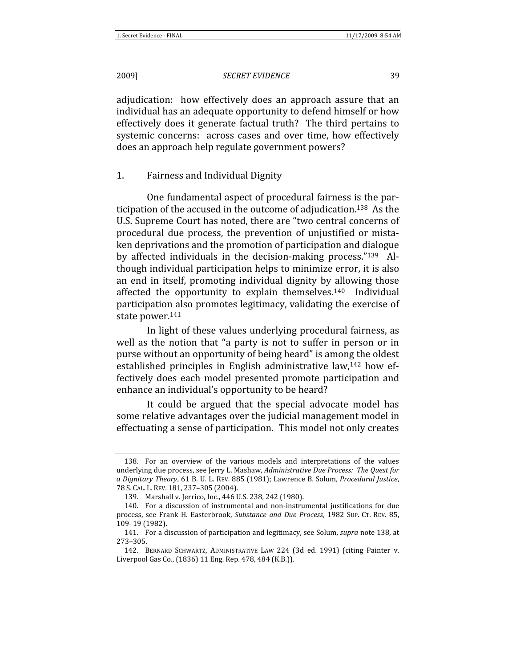adjudication: how effectively does an approach assure that an individual has an adequate opportunity to defend himself or how effectively does it generate factual truth? The third pertains to systemic concerns: across cases and over time, how effectively does an approach help regulate government powers?

1. Fairness and Individual Dignity

One fundamental aspect of procedural fairness is the par‐ ticipation of the accused in the outcome of adjudication.138 As the U.S. Supreme Court has noted, there are "two central concerns of procedural due process, the prevention of unjustified or mista‐ ken deprivations and the promotion of participation and dialogue by affected individuals in the decision-making process."<sup>139</sup> Although individual participation helps to minimize error, it is also an end in itself, promoting individual dignity by allowing those affected the opportunity to explain themselves.<sup>140</sup> Individual participation also promotes legitimacy, validating the exercise of state power.141

In light of these values underlying procedural fairness, as well as the notion that "a party is not to suffer in person or in purse without an opportunity of being heard" is among the oldest established principles in English administrative law,<sup>142</sup> how effectively does each model presented promote participation and enhance an individual's opportunity to be heard?

It could be argued that the special advocate model has some relative advantages over the judicial management model in effectuating a sense of participation. This model not only creates

<sup>138.</sup> For an overview of the various models and interpretations of the values underlying due process, see Jerry L. Mashaw, *Administrative Due Process: The Quest for a Dignitary Theory*, 61 B. U. L. REV. 885 (1981); Lawrence B. Solum, *Procedural Justice*, 78 S. CAL. L. REV. 181, 237–305 (2004).

<sup>139.</sup> Marshall v. Jerrico, Inc., 446 U.S. 238, 242 (1980).

<sup>140.</sup> For a discussion of instrumental and non-instrumental justifications for due process, see Frank H. Easterbrook, *Substance and Due Process*, 1982 SUP. CT. REV. 85, 109–19 (1982).

<sup>141.</sup> For a discussion of participation and legitimacy, see Solum, *supra* note 138, at 273–305.

<sup>142.</sup> BERNARD SCHWARTZ, ADMINISTRATIVE LAW 224 (3d ed. 1991) (citing Painter v. Liverpool Gas Co., (1836) 11 Eng. Rep. 478, 484 (K.B.)).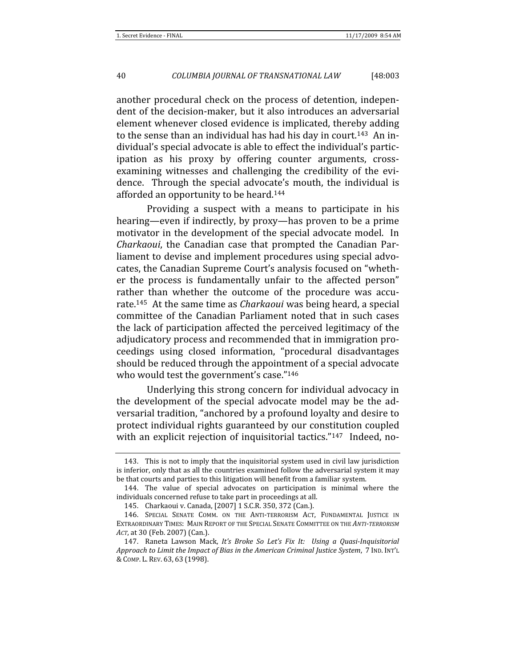another procedural check on the process of detention, indepen‐ dent of the decision‐maker, but it also introduces an adversarial element whenever closed evidence is implicated, thereby adding to the sense than an individual has had his day in court.<sup>143</sup> An individual's special advocate is able to effect the individual's partic‐ ipation as his proxy by offering counter arguments, crossexamining witnesses and challenging the credibility of the evidence. Through the special advocate's mouth, the individual is afforded an opportunity to be heard.144

Providing a suspect with a means to participate in his hearing—even if indirectly, by proxy—has proven to be a prime motivator in the development of the special advocate model. In *Charkaoui*, the Canadian case that prompted the Canadian Par‐ liament to devise and implement procedures using special advocates, the Canadian Supreme Court's analysis focused on "wheth‐ er the process is fundamentally unfair to the affected person" rather than whether the outcome of the procedure was accurate.145 At the same time as *Charkaoui* was being heard, a special committee of the Canadian Parliament noted that in such cases the lack of participation affected the perceived legitimacy of the adjudicatory process and recommended that in immigration pro‐ ceedings using closed information, "procedural disadvantages should be reduced through the appointment of a special advocate who would test the government's case."<sup>146</sup>

Underlying this strong concern for individual advocacy in the development of the special advocate model may be the ad‐ versarial tradition, "anchored by a profound loyalty and desire to protect individual rights guaranteed by our constitution coupled with an explicit rejection of inquisitorial tactics."<sup>147</sup> Indeed, no-

<sup>143.</sup> This is not to imply that the inquisitorial system used in civil law jurisdiction is inferior, only that as all the countries examined follow the adversarial system it may be that courts and parties to this litigation will benefit from a familiar system.

<sup>144.</sup> The value of special advocates on participation is minimal where the individuals concerned refuse to take part in proceedings at all.

<sup>145.</sup> Charkaoui v. Canada, [2007] 1 S.C.R. 350, 372 (Can.).

<sup>146.</sup> SPECIAL SENATE COMM. ON THE ANTI‐TERRORISM ACT, FUNDAMENTAL JUSTICE IN EXTRAORDINARY TIMES: MAIN REPORT OF THE SPECIAL SENATE COMMITTEE ON THE *ANTI‐TERRORISM ACT*, at 30 (Feb. 2007) (Can.).

<sup>147.</sup> Raneta Lawson Mack, *It's Broke So Let's Fix It: Using a Quasi‐Inquisitorial Approach to Limit the Impact of Bias in the American Criminal Justice System*, 7 IND. INT'L & COMP. L. REV. 63, 63 (1998).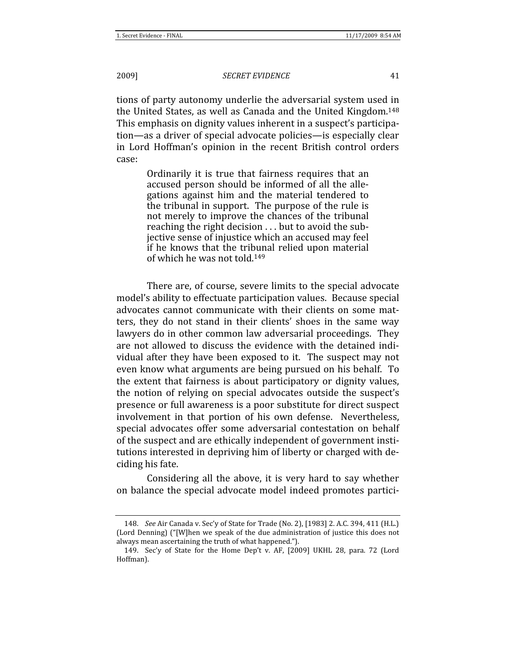tions of party autonomy underlie the adversarial system used in the United States, as well as Canada and the United Kingdom.148 This emphasis on dignity values inherent in a suspect's participa‐ tion—as a driver of special advocate policies—is especially clear in Lord Hoffman's opinion in the recent British control orders case:

> Ordinarily it is true that fairness requires that an accused person should be informed of all the alle‐ gations against him and the material tendered to the tribunal in support. The purpose of the rule is not merely to improve the chances of the tribunal reaching the right decision . . . but to avoid the sub‐ jective sense of injustice which an accused may feel if he knows that the tribunal relied upon material of which he was not told.149

There are, of course, severe limits to the special advocate model's ability to effectuate participation values. Because special advocates cannot communicate with their clients on some mat‐ ters, they do not stand in their clients' shoes in the same way lawyers do in other common law adversarial proceedings. They are not allowed to discuss the evidence with the detained indi‐ vidual after they have been exposed to it. The suspect may not even know what arguments are being pursued on his behalf. To the extent that fairness is about participatory or dignity values, the notion of relying on special advocates outside the suspect's presence or full awareness is a poor substitute for direct suspect involvement in that portion of his own defense. Nevertheless, special advocates offer some adversarial contestation on behalf of the suspect and are ethically independent of government insti‐ tutions interested in depriving him of liberty or charged with de‐ ciding his fate.

Considering all the above, it is very hard to say whether on balance the special advocate model indeed promotes partici‐

<sup>148.</sup> *See* Air Canada v. Sec'y of State for Trade (No. 2), [1983] 2. A.C. 394, 411 (H.L.) (Lord Denning) ("[W]hen we speak of the due administration of justice this does not always mean ascertaining the truth of what happened.").

<sup>149.</sup> Sec'y of State for the Home Dep't v. AF, [2009] UKHL 28, para. 72 (Lord Hoffman).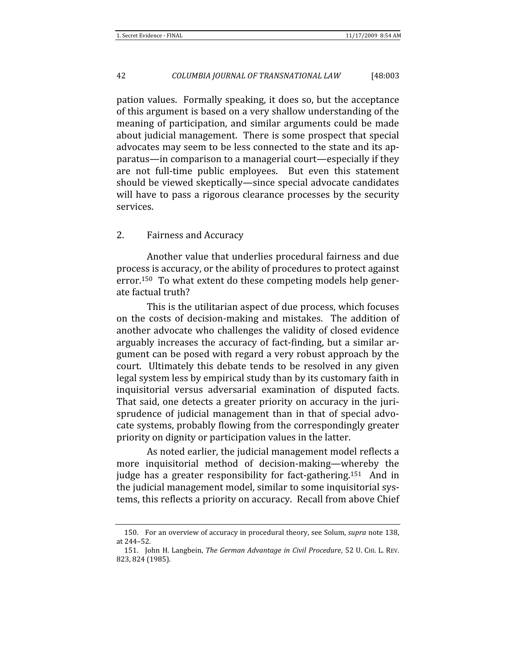pation values. Formally speaking, it does so, but the acceptance of this argument is based on a very shallow understanding of the meaning of participation, and similar arguments could be made about judicial management. There is some prospect that special advocates may seem to be less connected to the state and its ap‐ paratus—in comparison to a managerial court—especially if they are not full-time public employees. But even this statement should be viewed skeptically—since special advocate candidates will have to pass a rigorous clearance processes by the security services.

# 2. Fairness and Accuracy

Another value that underlies procedural fairness and due process is accuracy, or the ability of procedures to protect against error.<sup>150</sup> To what extent do these competing models help generate factual truth?

This is the utilitarian aspect of due process, which focuses on the costs of decision‐making and mistakes. The addition of another advocate who challenges the validity of closed evidence arguably increases the accuracy of fact‐finding, but a similar ar‐ gument can be posed with regard a very robust approach by the court. Ultimately this debate tends to be resolved in any given legal system less by empirical study than by its customary faith in inquisitorial versus adversarial examination of disputed facts. That said, one detects a greater priority on accuracy in the juri‐ sprudence of judicial management than in that of special advocate systems, probably flowing from the correspondingly greater priority on dignity or participation values in the latter.

As noted earlier, the judicial management model reflects a more inquisitorial method of decision‐making—whereby the judge has a greater responsibility for fact-gathering.<sup>151</sup> And in the judicial management model, similar to some inquisitorial sys‐ tems, this reflects a priority on accuracy. Recall from above Chief

<sup>150.</sup> For an overview of accuracy in procedural theory, see Solum, *supra* note 138, at 244–52.

<sup>151.</sup> John H. Langbein, *The German Advantage in Civil Procedure*, 52 U. CHI. L. REV. 823, 824 (1985).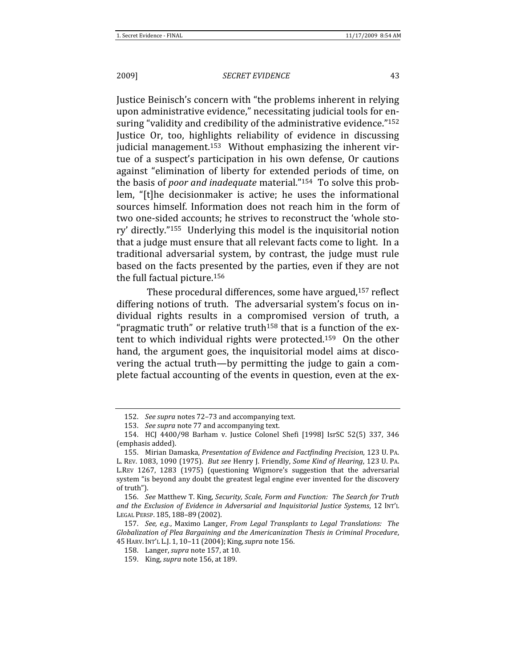Justice Beinisch's concern with "the problems inherent in relying upon administrative evidence," necessitating judicial tools for en‐ suring "validity and credibility of the administrative evidence."152 Justice Or, too, highlights reliability of evidence in discussing judicial management.<sup>153</sup> Without emphasizing the inherent virtue of a suspect's participation in his own defense, Or cautions against "elimination of liberty for extended periods of time, on the basis of *poor and inadequate* material."154 To solve this prob‐ lem, "[t]he decisionmaker is active; he uses the informational sources himself. Information does not reach him in the form of two one‐sided accounts; he strives to reconstruct the 'whole sto‐ ry' directly."155 Underlying this model is the inquisitorial notion that a judge must ensure that all relevant facts come to light. In a traditional adversarial system, by contrast, the judge must rule based on the facts presented by the parties, even if they are not the full factual picture.156

These procedural differences, some have argued,<sup>157</sup> reflect differing notions of truth. The adversarial system's focus on in‐ dividual rights results in a compromised version of truth, a "pragmatic truth" or relative truth<sup>158</sup> that is a function of the extent to which individual rights were protected.<sup>159</sup> On the other hand, the argument goes, the inquisitorial model aims at discovering the actual truth—by permitting the judge to gain a com‐ plete factual accounting of the events in question, even at the ex-

<sup>152.</sup> *See supra* notes 72–73 and accompanying text.

<sup>153.</sup> *See supra* note 77 and accompanying text.

<sup>154.</sup> HCJ 4400/98 Barham v. Justice Colonel Shefi [1998] IsrSC 52(5) 337, 346 (emphasis added).

<sup>155.</sup> Mirian Damaska, *Presentation of Evidence and Factfinding Precision,* 123 U. PA. L. REV. 1083, 1090 (1975). *But see* Henry J. Friendly, *Some Kind of Hearing*, 123 U. PA. L.REV 1267, 1283 (1975) (questioning Wigmore's suggestion that the adversarial system "is beyond any doubt the greatest legal engine ever invented for the discovery of truth").

<sup>156.</sup> *See* Matthew T. King, *Security, Scale, Form and Function: The Search for Truth and the Exclusion of Evidence in Adversarial and Inquisitorial Justice Systems*, 12 INT'L LEGAL PERSP. 185, 188–89 (2002).

<sup>157.</sup> *See, e.g.*, Maximo Langer, *From Legal Transplants to Legal Translations: The Globalization of Plea Bargaining and the Americanization Thesis in Criminal Procedure*, 45 HARV. INT'L L.J. 1, 10–11 (2004); King,*supra* note 156.

<sup>158.</sup> Langer, *supra* note 157, at 10.

<sup>159.</sup> King, *supra* note 156, at 189.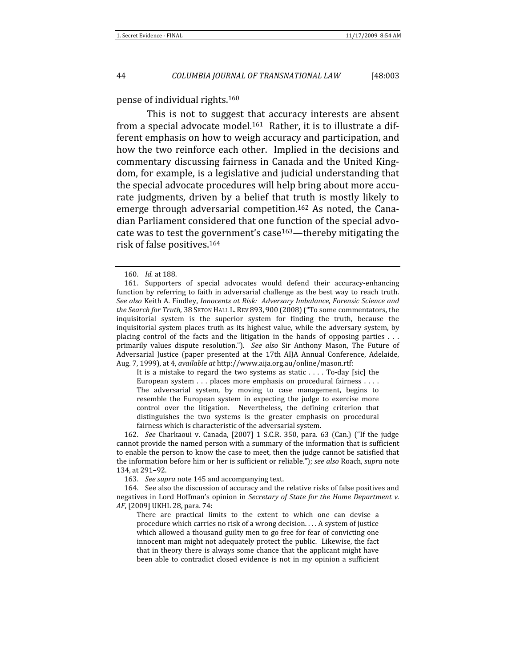pense of individual rights.160

This is not to suggest that accuracy interests are absent from a special advocate model.<sup>161</sup> Rather, it is to illustrate a different emphasis on how to weigh accuracy and participation, and how the two reinforce each other. Implied in the decisions and commentary discussing fairness in Canada and the United King‐ dom, for example, is a legislative and judicial understanding that the special advocate procedures will help bring about more accu‐ rate judgments, driven by a belief that truth is mostly likely to emerge through adversarial competition.<sup>162</sup> As noted, the Canadian Parliament considered that one function of the special advo‐ cate was to test the government's case<sup>163</sup>—thereby mitigating the risk of false positives.164

It is a mistake to regard the two systems as static . . . . To-day [sic] the European system . . . places more emphasis on procedural fairness . . . . The adversarial system, by moving to case management, begins to resemble the European system in expecting the judge to exercise more control over the litigation. Nevertheless, the defining criterion that distinguishes the two systems is the greater emphasis on procedural fairness which is characteristic of the adversarial system.

162. *See*  Charkaoui v. Canada, [2007] 1 S.C.R. 350, para. 63 (Can.) ("If the judge cannot provide the named person with a summary of the information that is sufficient to enable the person to know the case to meet, then the judge cannot be satisfied that the information before him or her is sufficient or reliable."); *see also* Roach, *supra* note 134, at 291–92.

163. *See supra* note 145 and accompanying text.

164. See also the discussion of accuracy and the relative risks of false positives and negatives in Lord Hoffman's opinion in *Secretary of State for the Home Department v. AF*, [2009] UKHL 28, para. 74:

There are practical limits to the extent to which one can devise a procedure which carries no risk of a wrong decision. . . . A system of justice which allowed a thousand guilty men to go free for fear of convicting one innocent man might not adequately protect the public. Likewise, the fact that in theory there is always some chance that the applicant might have been able to contradict closed evidence is not in my opinion a sufficient

<sup>160.</sup> *Id.* at 188.

<sup>161.</sup> Supporters of special advocates would defend their accuracy-enhancing function by referring to faith in adversarial challenge as the best way to reach truth. *See also* Keith A. Findley, *Innocents at Risk: Adversary Imbalance, Forensic Science and the Search for Truth,* 38 SETON HALL L. REV 893, 900 (2008)("To some commentators, the inquisitorial system is the superior system for finding the truth, because the inquisitorial system places truth as its highest value, while the adversary system, by placing control of the facts and the litigation in the hands of opposing parties  $\ldots$ primarily values dispute resolution."). *See also* Sir Anthony Mason, The Future of Adversarial Justice (paper presented at the 17th AIJA Annual Conference, Adelaide, Aug. 7, 1999), at 4, *available at* http://www.aija.org.au/online/mason.rtf: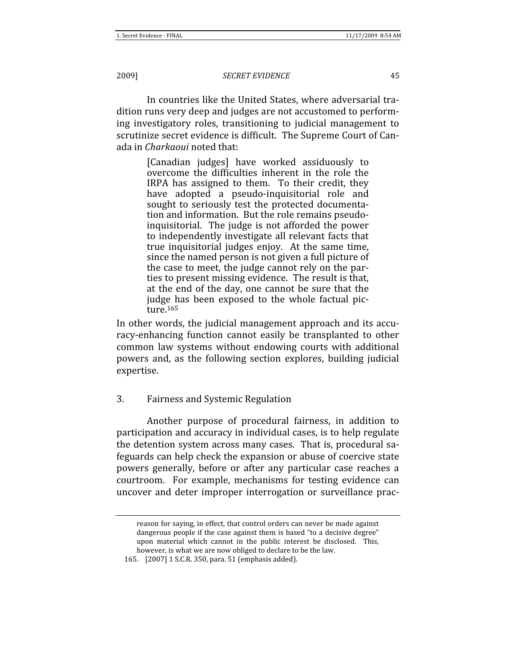In countries like the United States, where adversarial tra‐ dition runs very deep and judges are not accustomed to perform‐ ing investigatory roles, transitioning to judicial management to scrutinize secret evidence is difficult. The Supreme Court of Canada in *Charkaoui* noted that:

> [Canadian judges] have worked assiduously to overcome the difficulties inherent in the role the IRPA has assigned to them. To their credit, they have adopted a pseudo-inquisitorial role and sought to seriously test the protected documentation and information. But the role remains pseudo‐ inquisitorial. The judge is not afforded the power to independently investigate all relevant facts that true inquisitorial judges enjoy. At the same time, since the named person is not given a full picture of the case to meet, the judge cannot rely on the par‐ ties to present missing evidence. The result is that, at the end of the day, one cannot be sure that the judge has been exposed to the whole factual pic‐ ture.165

In other words, the judicial management approach and its accu‐ racy-enhancing function cannot easily be transplanted to other common law systems without endowing courts with additional powers and, as the following section explores, building judicial expertise.

# 3. Fairness and Systemic Regulation

Another purpose of procedural fairness, in addition to participation and accuracy in individual cases, is to help regulate the detention system across many cases. That is, procedural sa‐ feguards can help check the expansion or abuse of coercive state powers generally, before or after any particular case reaches a courtroom. For example, mechanisms for testing evidence can uncover and deter improper interrogation or surveillance prac‐

reason for saying, in effect, that control orders can never be made against dangerous people if the case against them is based "to a decisive degree" upon material which cannot in the public interest be disclosed. This, however, is what we are now obliged to declare to be the law.

<sup>165.</sup> [2007] 1 S.C.R. 350, para. 51 (emphasis added).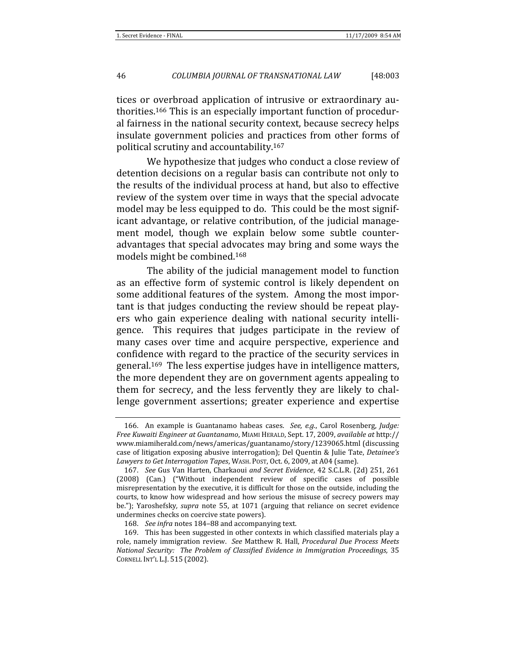tices or overbroad application of intrusive or extraordinary au‐ thorities.166 This is an especially important function of procedur‐ al fairness in the national security context, because secrecy helps insulate government policies and practices from other forms of political scrutiny and accountability.167

We hypothesize that judges who conduct a close review of detention decisions on a regular basis can contribute not only to the results of the individual process at hand, but also to effective review of the system over time in ways that the special advocate model may be less equipped to do. This could be the most signif‐ icant advantage, or relative contribution, of the judicial manage‐ ment model, though we explain below some subtle counteradvantages that special advocates may bring and some ways the models might be combined.168

The ability of the judicial management model to function as an effective form of systemic control is likely dependent on some additional features of the system. Among the most important is that judges conducting the review should be repeat play‐ ers who gain experience dealing with national security intelli‐ gence. This requires that judges participate in the review of many cases over time and acquire perspective, experience and confidence with regard to the practice of the security services in general.169 The less expertise judges have in intelligence matters, the more dependent they are on government agents appealing to them for secrecy, and the less fervently they are likely to challenge government assertions; greater experience and expertise

<sup>166.</sup> An example is Guantanamo habeas cases. *See, e.g.*, Carol Rosenberg, *Judge: Free Kuwaiti Engineer at Guantanamo*, MIAMI HERALD, Sept. 17, 2009, *available at* http:// www.miamiherald.com/news/americas/guantanamo/story/1239065.html (discussing case of litigation exposing abusive interrogation); Del Quentin & Julie Tate, *Detainee's Lawyers to Get Interrogation Tapes*, WASH. POST, Oct. 6, 2009, at A04 (same).

<sup>167.</sup> *See* Gus Van Harten, Charkaoui *and Secret Evidence*, 42 S.C.L.R. (2d) 251, 261 (2008) (Can.) ("Without independent review of specific cases of possible misrepresentation by the executive, it is difficult for those on the outside, including the courts, to know how widespread and how serious the misuse of secrecy powers may be."); Yaroshefsky*, supra* note 55, at 1071 (arguing that reliance on secret evidence undermines checks on coercive state powers).

<sup>168.</sup> *See infra* notes 184–88 and accompanying text.

<sup>169.</sup> This has been suggested in other contexts in which classified materials play a role, namely immigration review. *See* Matthew R. Hall, *Procedural Due Process Meets National Security: The Problem of Classified Evidence in Immigration Proceedings,*  35 CORNELL INT'L L.J. 515 (2002).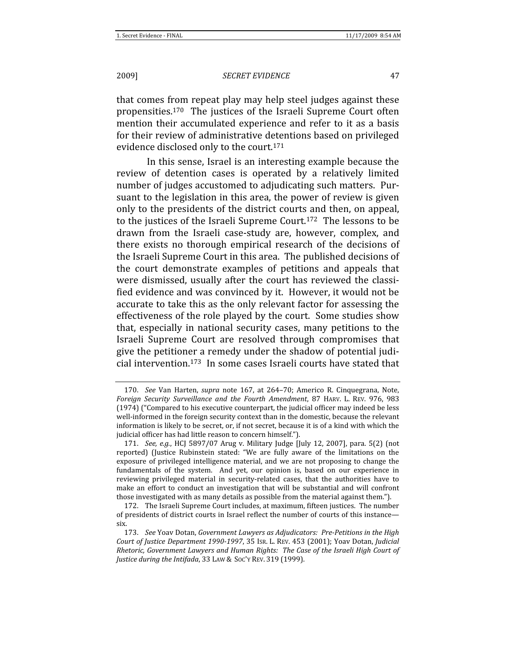that comes from repeat play may help steel judges against these propensities.170 The justices of the Israeli Supreme Court often mention their accumulated experience and refer to it as a basis for their review of administrative detentions based on privileged evidence disclosed only to the court.171

In this sense, Israel is an interesting example because the review of detention cases is operated by a relatively limited number of judges accustomed to adjudicating such matters. Pur‐ suant to the legislation in this area, the power of review is given only to the presidents of the district courts and then, on appeal, to the justices of the Israeli Supreme Court.172 The lessons to be drawn from the Israeli case‐study are, however, complex, and there exists no thorough empirical research of the decisions of the Israeli Supreme Court in this area. The published decisions of the court demonstrate examples of petitions and appeals that were dismissed, usually after the court has reviewed the classified evidence and was convinced by it. However, it would not be accurate to take this as the only relevant factor for assessing the effectiveness of the role played by the court. Some studies show that, especially in national security cases, many petitions to the Israeli Supreme Court are resolved through compromises that give the petitioner a remedy under the shadow of potential judi‐ cial intervention.173 In some cases Israeli courts have stated that

<sup>170.</sup> *See* Van Harten, *supra* note 167, at 264–70; Americo R. Cinquegrana, Note, *Foreign Security Surveillance and the Fourth Amendment*, 87 HARV. L. REV. 976, 983 (1974) ("Compared to his executive counterpart, the judicial officer may indeed be less well-informed in the foreign security context than in the domestic, because the relevant information is likely to be secret, or, if not secret, because it is of a kind with which the judicial officer has had little reason to concern himself.").

<sup>171.</sup> *See, e.g.*, HCJ 5897/07 Arug v. Military Judge [July 12, 2007], para. 5(2) (not reported) (Justice Rubinstein stated: "We are fully aware of the limitations on the exposure of privileged intelligence material, and we are not proposing to change the fundamentals of the system. And yet, our opinion is, based on our experience in reviewing privileged material in security-related cases, that the authorities have to make an effort to conduct an investigation that will be substantial and will confront those investigated with as many details as possible from the material against them.").

<sup>172.</sup> The Israeli Supreme Court includes, at maximum, fifteen justices. The number of presidents of district courts in Israel reflect the number of courts of this instance six.

<sup>173.</sup> *See* Yoav Dotan, *Government Lawyers as Adjudicators: Pre‐Petitions in the High Court of Justice Department 1990‐1997*, 35 ISR. L. REV. 453 (2001); Yoav Dotan, *Judicial Rhetoric, Government Lawyers and Human Rights: The Case of the Israeli High Court of Justice during the Intifada*, 33 LAW & Soc'y REV. 319 (1999).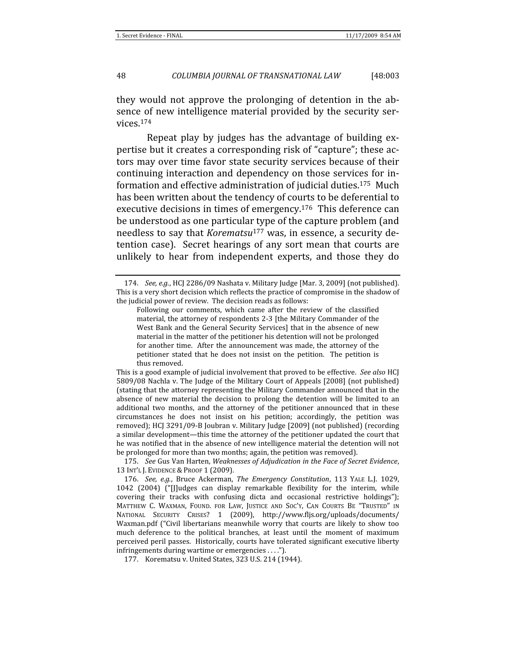they would not approve the prolonging of detention in the ab‐ sence of new intelligence material provided by the security services.174

Repeat play by judges has the advantage of building expertise but it creates a corresponding risk of "capture"; these ac‐ tors may over time favor state security services because of their continuing interaction and dependency on those services for in‐ formation and effective administration of judicial duties.175 Much has been written about the tendency of courts to be deferential to executive decisions in times of emergency.176 This deference can be understood as one particular type of the capture problem (and needless to say that *Korematsu*<sup>177</sup> was, in essence, a security de‐ tention case). Secret hearings of any sort mean that courts are unlikely to hear from independent experts, and those they do

177. Korematsu v. United States, 323 U.S. 214 (1944).

<sup>174.</sup> *See, e.g.*, HCJ 2286/09 Nashata v. Military Judge [Mar. 3, 2009] (not published). This is a very short decision which reflects the practice of compromise in the shadow of the judicial power of review. The decision reads as follows:

Following our comments, which came after the review of the classified material, the attorney of respondents 2‐3 [the Military Commander of the West Bank and the General Security Services] that in the absence of new material in the matter of the petitioner his detention will not be prolonged for another time. After the announcement was made, the attorney of the petitioner stated that he does not insist on the petition. The petition is thus removed.

This is a good example of judicial involvement that proved to be effective. *See also* HCJ 5809/08 Nachla v. The Judge of the Military Court of Appeals [2008] (not published) (stating that the attorney representing the Military Commander announced that in the absence of new material the decision to prolong the detention will be limited to an additional two months, and the attorney of the petitioner announced that in these circumstances he does not insist on his petition; accordingly, the petition was removed); HCJ 3291/09‐B Joubran v. Military Judge [2009] (not published) (recording a similar development—this time the attorney of the petitioner updated the court that he was notified that in the absence of new intelligence material the detention will not be prolonged for more than two months; again, the petition was removed).

<sup>175.</sup> *See* Gus Van Harten, *Weaknesses of Adjudication in the Face of Secret Evidence*, 13 INT'L J. EVIDENCE & PROOF 1 (2009).

<sup>176.</sup> *See, e.g.*, Bruce Ackerman, *The Emergency Constitution*, 113 YALE L.J. 1029, 1042 (2004) ("[J]udges can display remarkable flexibility for the interim, while covering their tracks with confusing dicta and occasional restrictive holdings"); MATTHEW C. WAXMAN, FOUND. FOR LAW, JUSTICE AND SOC'Y, CAN COURTS BE "TRUSTED" IN NATIONAL SECURITY CRISES? 1 (2009), http://www.fljs.org/uploads/documents/ Waxman.pdf ("Civil libertarians meanwhile worry that courts are likely to show too much deference to the political branches, at least until the moment of maximum perceived peril passes. Historically, courts have tolerated significant executive liberty infringements during wartime or emergencies . . . .").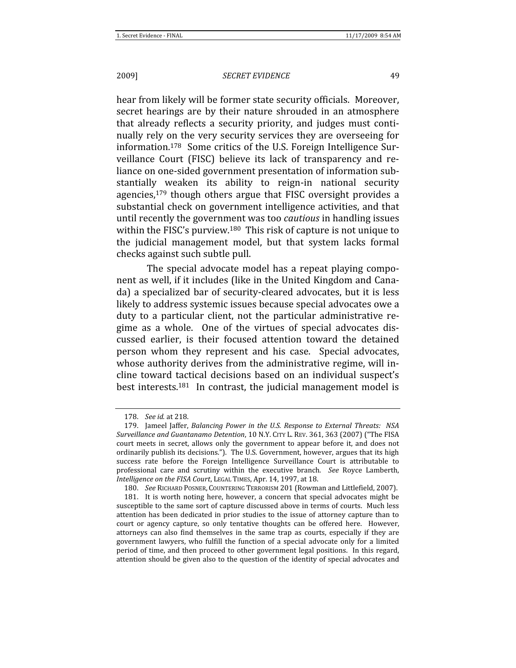hear from likely will be former state security officials. Moreover, secret hearings are by their nature shrouded in an atmosphere that already reflects a security priority, and judges must conti‐ nually rely on the very security services they are overseeing for information.178 Some critics of the U.S. Foreign Intelligence Sur‐ veillance Court (FISC) believe its lack of transparency and re‐ liance on one-sided government presentation of information substantially weaken its ability to reign-in national security agencies,179 though others argue that FISC oversight provides a substantial check on government intelligence activities, and that until recently the government was too *cautious* in handling issues within the FISC's purview.<sup>180</sup> This risk of capture is not unique to the judicial management model, but that system lacks formal checks against such subtle pull.

The special advocate model has a repeat playing component as well, if it includes (like in the United Kingdom and Cana‐ da) a specialized bar of security‐cleared advocates, but it is less likely to address systemic issues because special advocates owe a duty to a particular client, not the particular administrative regime as a whole. One of the virtues of special advocates dis‐ cussed earlier, is their focused attention toward the detained person whom they represent and his case. Special advocates, whose authority derives from the administrative regime, will incline toward tactical decisions based on an individual suspect's best interests.181 In contrast, the judicial management model is

<sup>178.</sup> *See id.* at 218.

<sup>179.</sup> Jameel Jaffer, *Balancing Power in the U.S. Response to External Threats: NSA Surveillance and Guantanamo Detention*, 10 N.Y. CITY L. REV. 361, 363 (2007) ("The FISA court meets in secret, allows only the government to appear before it, and does not ordinarily publish its decisions."). The U.S. Government, however, argues that its high success rate before the Foreign Intelligence Surveillance Court is attributable to professional care and scrutiny within the executive branch. *See*  Royce Lamberth, *Intelligence on the FISA Court*, LEGAL TIMES, Apr. 14, 1997, at 18.

<sup>180.</sup> *See* RICHARD POSNER, COUNTERING TERRORISM 201 (Rowman and Littlefield, 2007).

<sup>181.</sup> It is worth noting here, however, a concern that special advocates might be susceptible to the same sort of capture discussed above in terms of courts. Much less attention has been dedicated in prior studies to the issue of attorney capture than to court or agency capture, so only tentative thoughts can be offered here. However, attorneys can also find themselves in the same trap as courts, especially if they are government lawyers, who fulfill the function of a special advocate only for a limited period of time, and then proceed to other government legal positions. In this regard, attention should be given also to the question of the identity of special advocates and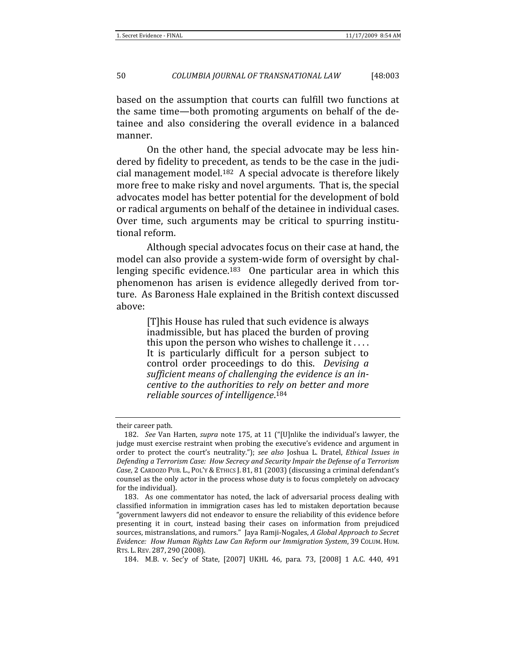based on the assumption that courts can fulfill two functions at the same time—both promoting arguments on behalf of the de‐ tainee and also considering the overall evidence in a balanced manner.

On the other hand, the special advocate may be less hin‐ dered by fidelity to precedent, as tends to be the case in the judi‐ cial management model.182 A special advocate is therefore likely more free to make risky and novel arguments. That is, the special advocates model has better potential for the development of bold or radical arguments on behalf of the detainee in individual cases. Over time, such arguments may be critical to spurring institu‐ tional reform.

Although special advocates focus on their case at hand, the model can also provide a system-wide form of oversight by challenging specific evidence.<sup>183</sup> One particular area in which this phenomenon has arisen is evidence allegedly derived from torture. As Baroness Hale explained in the British context discussed above:

> [T]his House has ruled that such evidence is always inadmissible, but has placed the burden of proving this upon the person who wishes to challenge it . . . . It is particularly difficult for a person subject to control order proceedings to do this. *Devising a sufficient means of challenging the evidence is an in‐ centive to the authorities to rely on better and more reliable sources of intelligence*. 184

their career path.

<sup>182.</sup> *See* Van Harten, *supra* note 175, at 11 ("[U]nlike the individual's lawyer, the judge must exercise restraint when probing the executive's evidence and argument in order to protect the court's neutrality."); *see also* Joshua L. Dratel, *Ethical Issues in Defending a Terrorism Case: How Secrecy and Security Impair the Defense of a Terrorism Case*, 2 CARDOZO PUB. L., POL'Y & ETHICS J. 81, 81 (2003) (discussing a criminal defendant's counsel as the only actor in the process whose duty is to focus completely on advocacy for the individual).

<sup>183.</sup> As one commentator has noted, the lack of adversarial process dealing with classified information in immigration cases has led to mistaken deportation because "government lawyers did not endeavor to ensure the reliability of this evidence before presenting it in court, instead basing their cases on information from prejudiced sources, mistranslations, and rumors." Jaya Ramji‐Nogales, *A Global Approach to Secret Evidence: How Human Rights Law Can Reform our Immigration System*, 39 COLUM. HUM. RTS. L. REV. 287, 290 (2008).

<sup>184.</sup> M.B. v. Sec'y of State, [2007] UKHL 46, para*.*  73, [2008] 1 A.C. 440, 491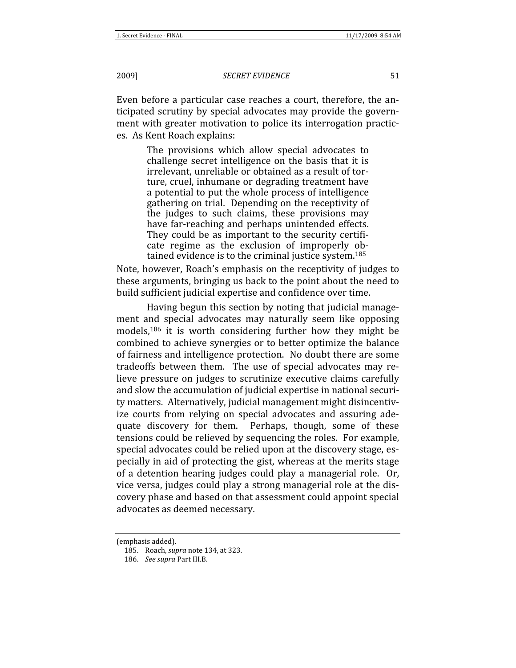Even before a particular case reaches a court, therefore, the an‐ ticipated scrutiny by special advocates may provide the govern‐ ment with greater motivation to police its interrogation practic‐ es. As Kent Roach explains:

> The provisions which allow special advocates to challenge secret intelligence on the basis that it is irrelevant, unreliable or obtained as a result of tor‐ ture, cruel, inhumane or degrading treatment have a potential to put the whole process of intelligence gathering on trial. Depending on the receptivity of the judges to such claims, these provisions may have far-reaching and perhaps unintended effects. They could be as important to the security certificate regime as the exclusion of improperly ob‐ tained evidence is to the criminal justice system.185

Note, however, Roach's emphasis on the receptivity of judges to these arguments, bringing us back to the point about the need to build sufficient judicial expertise and confidence over time.

Having begun this section by noting that judicial manage‐ ment and special advocates may naturally seem like opposing models,186 it is worth considering further how they might be combined to achieve synergies or to better optimize the balance of fairness and intelligence protection. No doubt there are some tradeoffs between them. The use of special advocates may relieve pressure on judges to scrutinize executive claims carefully and slow the accumulation of judicial expertise in national securi‐ ty matters. Alternatively, judicial management might disincentiv‐ ize courts from relying on special advocates and assuring ade‐ quate discovery for them. Perhaps, though, some of these tensions could be relieved by sequencing the roles. For example, special advocates could be relied upon at the discovery stage, es‐ pecially in aid of protecting the gist, whereas at the merits stage of a detention hearing judges could play a managerial role. Or, vice versa, judges could play a strong managerial role at the dis‐ covery phase and based on that assessment could appoint special advocates as deemed necessary.

<sup>(</sup>emphasis added).

<sup>185.</sup> Roach, *supra* note 134, at 323.

<sup>186.</sup> *See supra* Part III.B.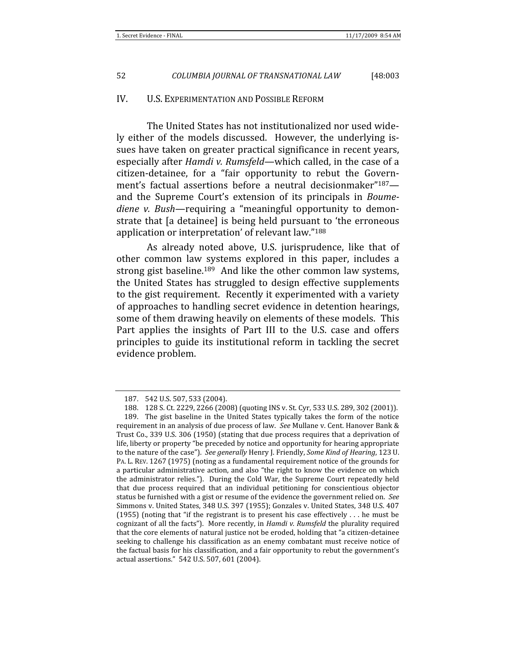# IV. U.S. EXPERIMENTATION AND POSSIBLE REFORM

The United States has not institutionalized nor used wide‐ ly either of the models discussed. However, the underlying is‐ sues have taken on greater practical significance in recent years, especially after *Hamdi v. Rumsfeld*—which called, in the case of a citizen-detainee, for a "fair opportunity to rebut the Government's factual assertions before a neutral decisionmaker"187 and the Supreme Court's extension of its principals in *Boume‐ diene v. Bush*—requiring a "meaningful opportunity to demonstrate that [a detainee] is being held pursuant to 'the erroneous application or interpretation' of relevant law."188

As already noted above, U.S. jurisprudence, like that of other common law systems explored in this paper, includes a strong gist baseline.<sup>189</sup> And like the other common law systems, the United States has struggled to design effective supplements to the gist requirement. Recently it experimented with a variety of approaches to handling secret evidence in detention hearings, some of them drawing heavily on elements of these models. This Part applies the insights of Part III to the U.S. case and offers principles to guide its institutional reform in tackling the secret evidence problem.

<sup>187.</sup> 542 U.S. 507, 533 (2004).

<sup>188.</sup> 128 S. Ct. 2229, 2266 (2008) (quoting INS v. St. Cyr, 533 U.S. 289, 302 (2001)).

<sup>189.</sup> The gist baseline in the United States typically takes the form of the notice requirement in an analysis of due process of law. *See* Mullane v. Cent. Hanover Bank & Trust Co., 339 U.S. 306 (1950) (stating that due process requires that a deprivation of life, liberty or property "be preceded by notice and opportunity for hearing appropriate to the nature of the case"). *See generally* Henry J. Friendly, *Some Kind of Hearing*, 123 U. PA. L. REV. 1267 (1975) (noting as a fundamental requirement notice of the grounds for a particular administrative action, and also "the right to know the evidence on which the administrator relies."). During the Cold War, the Supreme Court repeatedly held that due process required that an individual petitioning for conscientious objector status be furnished with a gist or resume of the evidence the government relied on. *See* Simmons v. United States, 348 U.S. 397 (1955); Gonzales v. United States, 348 U.S. 407 (1955) (noting that "if the registrant is to present his case effectively . . . he must be cognizant of all the facts"). More recently, in *Hamdi v. Rumsfeld* the plurality required that the core elements of natural justice not be eroded, holding that "a citizen‐detainee seeking to challenge his classification as an enemy combatant must receive notice of the factual basis for his classification, and a fair opportunity to rebut the government's actual assertions." 542 U.S. 507, 601 (2004).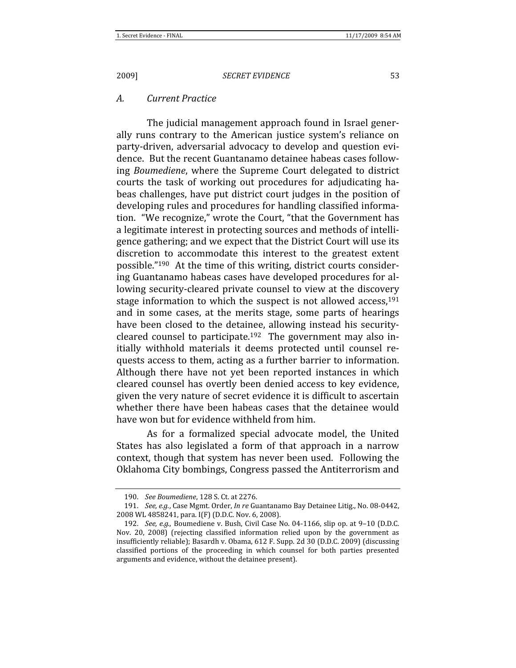# *A. Current Practice*

The judicial management approach found in Israel gener‐ ally runs contrary to the American justice system's reliance on party‐driven, adversarial advocacy to develop and question evi‐ dence. But the recent Guantanamo detainee habeas cases follow‐ ing *Boumediene*, where the Supreme Court delegated to district courts the task of working out procedures for adjudicating ha‐ beas challenges, have put district court judges in the position of developing rules and procedures for handling classified informa‐ tion. "We recognize," wrote the Court, "that the Government has a legitimate interest in protecting sources and methods of intelli‐ gence gathering; and we expect that the District Court will use its discretion to accommodate this interest to the greatest extent possible."190 At the time of this writing, district courts consider‐ ing Guantanamo habeas cases have developed procedures for al‐ lowing security‐cleared private counsel to view at the discovery stage information to which the suspect is not allowed access,<sup>191</sup> and in some cases, at the merits stage, some parts of hearings have been closed to the detainee, allowing instead his securitycleared counsel to participate.<sup>192</sup> The government may also initially withhold materials it deems protected until counsel re‐ quests access to them, acting as a further barrier to information. Although there have not yet been reported instances in which cleared counsel has overtly been denied access to key evidence, given the very nature of secret evidence it is difficult to ascertain whether there have been habeas cases that the detainee would have won but for evidence withheld from him.

As for a formalized special advocate model, the United States has also legislated a form of that approach in a narrow context, though that system has never been used. Following the Oklahoma City bombings, Congress passed the Antiterrorism and

<sup>190.</sup> *See Boumediene*, 128 S. Ct. at 2276.

<sup>191.</sup> *See, e.g.*, Case Mgmt. Order, *In re* Guantanamo Bay Detainee Litig., No. 08‐0442, 2008 WL 4858241, para. I(F) (D.D.C. Nov. 6, 2008).

<sup>192.</sup> *See, e.g.,* Boumediene v. Bush, Civil Case No. 04‐1166, slip op. at 9–10 (D.D.C. Nov. 20, 2008) (rejecting classified information relied upon by the government as insufficiently reliable); Basardh v. Obama, 612 F. Supp. 2d 30 (D.D.C. 2009) (discussing classified portions of the proceeding in which counsel for both parties presented arguments and evidence, without the detainee present).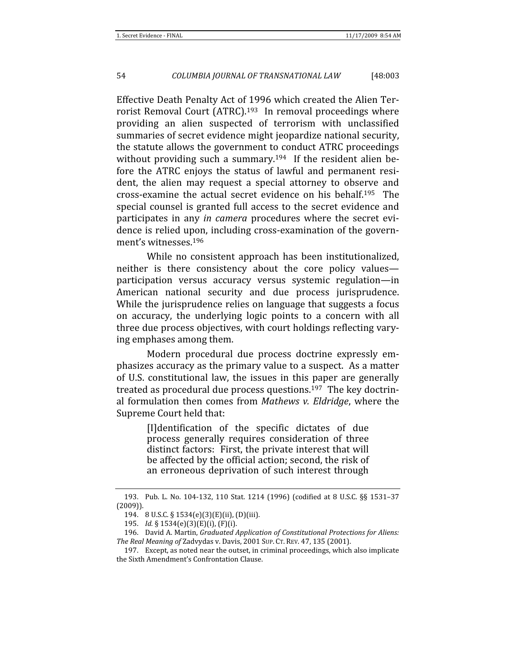Effective Death Penalty Act of 1996 which created the Alien Ter‐ rorist Removal Court (ATRC).<sup>193</sup> In removal proceedings where providing an alien suspected of terrorism with unclassified summaries of secret evidence might jeopardize national security, the statute allows the government to conduct ATRC proceedings without providing such a summary.<sup>194</sup> If the resident alien before the ATRC enjoys the status of lawful and permanent resident, the alien may request a special attorney to observe and cross‐examine the actual secret evidence on his behalf.195 The special counsel is granted full access to the secret evidence and participates in any *in camera* procedures where the secret evidence is relied upon, including cross‐examination of the govern‐ ment's witnesses.196

While no consistent approach has been institutionalized, neither is there consistency about the core policy values participation versus accuracy versus systemic regulation—in American national security and due process jurisprudence. While the jurisprudence relies on language that suggests a focus on accuracy, the underlying logic points to a concern with all three due process objectives, with court holdings reflecting vary‐ ing emphases among them.

Modern procedural due process doctrine expressly em‐ phasizes accuracy as the primary value to a suspect. As a matter of U.S. constitutional law, the issues in this paper are generally treated as procedural due process questions.197 The key doctrin‐ al formulation then comes from *Mathews v. Eldridge*, where the Supreme Court held that:

> [I]dentification of the specific dictates of due process generally requires consideration of three distinct factors: First, the private interest that will be affected by the official action; second, the risk of an erroneous deprivation of such interest through

<sup>193.</sup> Pub. L. No. 104‐132, 110 Stat. 1214 (1996) (codified at 8 U.S.C. §§ 1531–37 (2009)).

<sup>194.</sup> 8 U.S.C. § 1534(e)(3)(E)(ii), (D)(iii).

<sup>195.</sup> *Id.* § 1534(e)(3)(E)(i), (F)(i).

<sup>196.</sup> David A. Martin, *Graduated Application of Constitutional Protections for Aliens: The Real Meaning of* Zadvydas v. Davis, 2001 SUP. CT. REV. 47, 135 (2001).

<sup>197.</sup> Except, as noted near the outset, in criminal proceedings, which also implicate the Sixth Amendment's Confrontation Clause.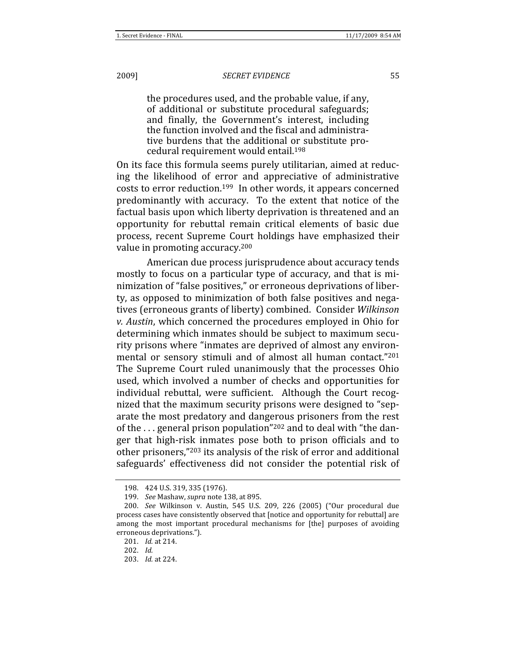the procedures used, and the probable value, if any, of additional or substitute procedural safeguards; and finally, the Government's interest, including the function involved and the fiscal and administra‐ tive burdens that the additional or substitute pro‐ cedural requirement would entail.198

On its face this formula seems purely utilitarian, aimed at reduc‐ ing the likelihood of error and appreciative of administrative costs to error reduction.199 In other words, it appears concerned predominantly with accuracy. To the extent that notice of the factual basis upon which liberty deprivation is threatened and an opportunity for rebuttal remain critical elements of basic due process, recent Supreme Court holdings have emphasized their value in promoting accuracy.200

American due process jurisprudence about accuracy tends mostly to focus on a particular type of accuracy, and that is minimization of "false positives," or erroneous deprivations of liber‐ ty, as opposed to minimization of both false positives and nega‐ tives (erroneous grants of liberty) combined. Consider *Wilkinson v. Austin*, which concerned the procedures employed in Ohio for determining which inmates should be subject to maximum secu‐ rity prisons where "inmates are deprived of almost any environ‐ mental or sensory stimuli and of almost all human contact."<sup>201</sup> The Supreme Court ruled unanimously that the processes Ohio used, which involved a number of checks and opportunities for individual rebuttal, were sufficient. Although the Court recognized that the maximum security prisons were designed to "sep‐ arate the most predatory and dangerous prisoners from the rest of the . . . general prison population"202 and to deal with "the dan‐ ger that high‐risk inmates pose both to prison officials and to other prisoners,"203 its analysis of the risk of error and additional safeguards' effectiveness did not consider the potential risk of

<sup>198.</sup> 424 U.S. 319, 335 (1976).

<sup>199.</sup> *See* Mashaw, *supra* note 138, at 895.

<sup>200.</sup> *See* Wilkinson v. Austin, 545 U.S. 209, 226 (2005) ("Our procedural due process cases have consistently observed that [notice and opportunity for rebuttal] are among the most important procedural mechanisms for [the] purposes of avoiding erroneous deprivations.").

<sup>201.</sup> *Id.* at 214.

<sup>202.</sup> *Id.*

<sup>203.</sup> *Id.* at 224.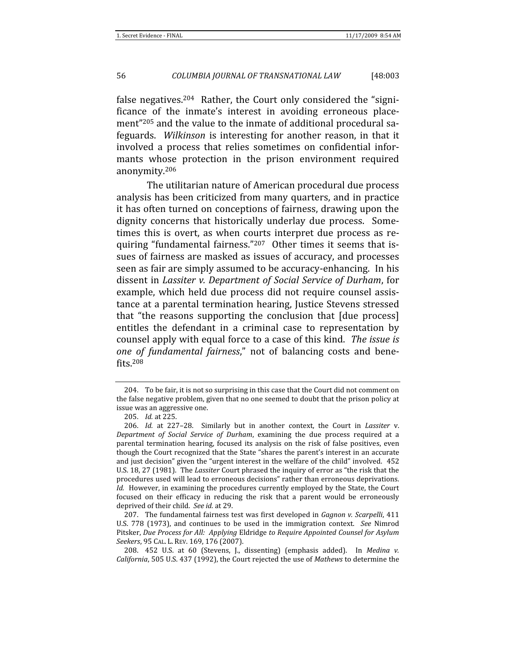false negatives.<sup>204</sup> Rather, the Court only considered the "significance of the inmate's interest in avoiding erroneous place‐ ment"<sup>205</sup> and the value to the inmate of additional procedural safeguards. *Wilkinson*  is interesting for another reason, in that it involved a process that relies sometimes on confidential infor‐ mants whose protection in the prison environment required anonymity.206

The utilitarian nature of American procedural due process analysis has been criticized from many quarters, and in practice it has often turned on conceptions of fairness, drawing upon the dignity concerns that historically underlay due process. Some‐ times this is overt, as when courts interpret due process as requiring "fundamental fairness."<sup>207</sup> Other times it seems that issues of fairness are masked as issues of accuracy, and processes seen as fair are simply assumed to be accuracy-enhancing. In his dissent in *Lassiter v. Department of Social Service of Durham*, for example, which held due process did not require counsel assis‐ tance at a parental termination hearing, Justice Stevens stressed that "the reasons supporting the conclusion that [due process] entitles the defendant in a criminal case to representation by counsel apply with equal force to a case of this kind. *The issue is one of fundamental fairness*," not of balancing costs and bene‐ fits.208

<sup>204.</sup> To be fair, it is not so surprising in this case that the Court did not comment on the false negative problem, given that no one seemed to doubt that the prison policy at issue was an aggressive one.

<sup>205.</sup> *Id.* at 225.

<sup>206.</sup> *Id.*  at 227–28. Similarly but in another context, the Court in *Lassiter* v. *Department of Social Service of Durham*, examining the due process required at a parental termination hearing, focused its analysis on the risk of false positives, even though the Court recognized that the State "shares the parent's interest in an accurate and just decision" given the "urgent interest in the welfare of the child" involved. 452 U.S. 18, 27 (1981). The *Lassiter* Court phrased the inquiry of error as "the risk that the procedures used will lead to erroneous decisions" rather than erroneous deprivations. *Id.* However, in examining the procedures currently employed by the State, the Court focused on their efficacy in reducing the risk that a parent would be erroneously deprived of their child. *See id.* at 29.

<sup>207.</sup> The fundamental fairness test was first developed in *Gagnon v. Scarpelli*, 411 U.S. 778 (1973), and continues to be used in the immigration context. *See*  Nimrod Pitsker, *Due Process for All: Applying* Eldridge *to Require Appointed Counsel for Asylum Seekers*, 95 CAL. L. REV. 169, 176 (2007).

<sup>208.</sup> 452 U.S. at 60 (Stevens, J., dissenting) (emphasis added). In *Medina v. California*, 505 U.S. 437 (1992), the Court rejected the use of *Mathews* to determine the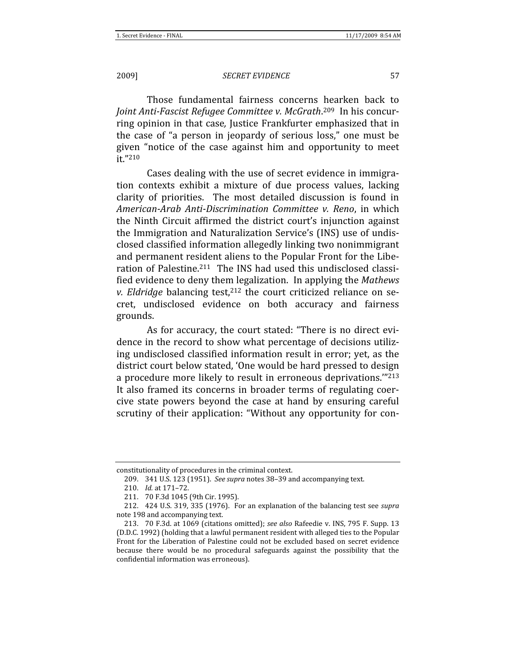Those fundamental fairness concerns hearken back to *Joint Anti‐Fascist Refugee Committee v. McGrath*. 209 In his concur‐ ring opinion in that case*,* Justice Frankfurter emphasized that in the case of "a person in jeopardy of serious loss," one must be given "notice of the case against him and opportunity to meet it."210

Cases dealing with the use of secret evidence in immigra‐ tion contexts exhibit a mixture of due process values, lacking clarity of priorities. The most detailed discussion is found in *American‐Arab Anti‐Discrimination Committee v. Reno*, in which the Ninth Circuit affirmed the district court's injunction against the Immigration and Naturalization Service's (INS) use of undis‐ closed classified information allegedly linking two nonimmigrant and permanent resident aliens to the Popular Front for the Libe‐ ration of Palestine.<sup>211</sup> The INS had used this undisclosed classified evidence to deny them legalization. In applying the *Mathews v. Eldridge* balancing test,<sup>212</sup> the court criticized reliance on secret, undisclosed evidence on both accuracy and fairness grounds.

As for accuracy, the court stated: "There is no direct evi‐ dence in the record to show what percentage of decisions utiliz‐ ing undisclosed classified information result in error; yet, as the district court below stated, 'One would be hard pressed to design a procedure more likely to result in erroneous deprivations.'"213 It also framed its concerns in broader terms of regulating coer‐ cive state powers beyond the case at hand by ensuring careful scrutiny of their application: "Without any opportunity for con-

constitutionality of procedures in the criminal context.

<sup>209.</sup> 341 U.S. 123 (1951). *See supra* notes 38–39 and accompanying text.

<sup>210.</sup> *Id.* at 171–72.

<sup>211.</sup> 70 F.3d 1045 (9th Cir. 1995).

<sup>212.</sup> 424 U.S. 319, 335 (1976). For an explanation of the balancing test see *supra* note 198 and accompanying text.

<sup>213.</sup> 70 F.3d. at 1069 (citations omitted); *see also* Rafeedie v. INS, 795 F. Supp. 13 (D.D.C. 1992) (holding that a lawful permanent resident with alleged ties to the Popular Front for the Liberation of Palestine could not be excluded based on secret evidence because there would be no procedural safeguards against the possibility that the confidential information was erroneous).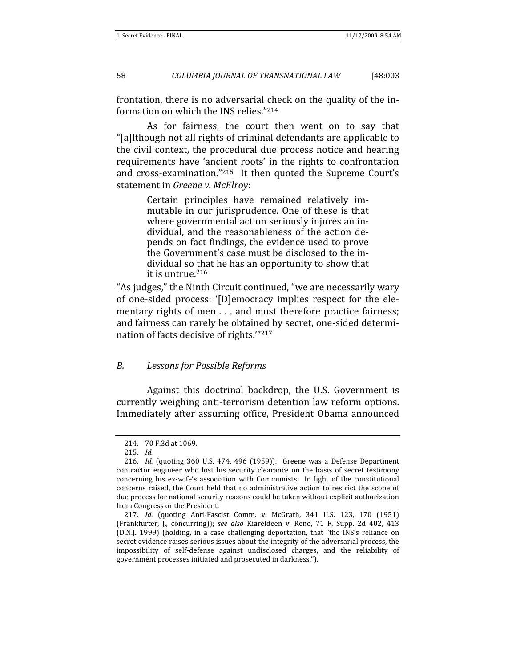frontation, there is no adversarial check on the quality of the in‐ formation on which the INS relies."214

As for fairness, the court then went on to say that "[a]lthough not all rights of criminal defendants are applicable to the civil context, the procedural due process notice and hearing requirements have 'ancient roots' in the rights to confrontation and cross-examination."<sup>215</sup> It then quoted the Supreme Court's statement in *Greene v. McElroy*:

> Certain principles have remained relatively im‐ mutable in our jurisprudence. One of these is that where governmental action seriously injures an individual, and the reasonableness of the action de‐ pends on fact findings, the evidence used to prove the Government's case must be disclosed to the in‐ dividual so that he has an opportunity to show that it is untrue.216

"As judges," the Ninth Circuit continued, "we are necessarily wary of one‐sided process: '[D]emocracy implies respect for the ele‐ mentary rights of men . . . and must therefore practice fairness; and fairness can rarely be obtained by secret, one‐sided determi‐ nation of facts decisive of rights.'"217

# *B. Lessons for Possible Reforms*

Against this doctrinal backdrop, the U.S. Government is currently weighing anti‐terrorism detention law reform options. Immediately after assuming office, President Obama announced

<sup>214.</sup> 70 F.3d at 1069.

<sup>215.</sup> *Id.*

<sup>216.</sup> *Id.* (quoting 360 U.S. 474, 496 (1959)). Greene was a Defense Department contractor engineer who lost his security clearance on the basis of secret testimony concerning his ex-wife's association with Communists. In light of the constitutional concerns raised, the Court held that no administrative action to restrict the scope of due process for national security reasons could be taken without explicit authorization from Congress or the President.

<sup>217.</sup> *Id.* (quoting Anti‐Fascist Comm. v. McGrath, 341 U.S. 123, 170 (1951) (Frankfurter, J., concurring)); *see also* Kiareldeen v. Reno, 71 F. Supp. 2d 402, 413 (D.N.J. 1999) (holding, in a case challenging deportation, that "the INS's reliance on secret evidence raises serious issues about the integrity of the adversarial process, the impossibility of self-defense against undisclosed charges, and the reliability of government processes initiated and prosecuted in darkness.").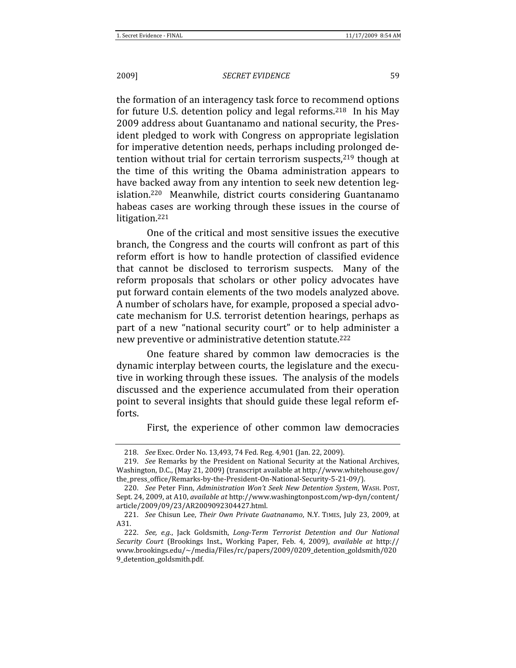the formation of an interagency task force to recommend options for future U.S. detention policy and legal reforms.<sup>218</sup> In his May 2009 address about Guantanamo and national security, the Pres‐ ident pledged to work with Congress on appropriate legislation for imperative detention needs, perhaps including prolonged de‐ tention without trial for certain terrorism suspects, $219$  though at the time of this writing the Obama administration appears to have backed away from any intention to seek new detention legislation.<sup>220</sup> Meanwhile, district courts considering Guantanamo habeas cases are working through these issues in the course of litigation.221

One of the critical and most sensitive issues the executive branch, the Congress and the courts will confront as part of this reform effort is how to handle protection of classified evidence that cannot be disclosed to terrorism suspects. Many of the reform proposals that scholars or other policy advocates have put forward contain elements of the two models analyzed above. A number of scholars have, for example, proposed a special advo‐ cate mechanism for U.S. terrorist detention hearings, perhaps as part of a new "national security court" or to help administer a new preventive or administrative detention statute.222

One feature shared by common law democracies is the dynamic interplay between courts, the legislature and the execu‐ tive in working through these issues. The analysis of the models discussed and the experience accumulated from their operation point to several insights that should guide these legal reform ef‐ forts.

First, the experience of other common law democracies

<sup>218.</sup> *See* Exec. Order No. 13,493, 74 Fed. Reg. 4,901 (Jan. 22, 2009).

<sup>219.</sup> *See* Remarks by the President on National Security at the National Archives, Washington, D.C., (May 21, 2009) (transcript available at http://www.whitehouse.gov/ the\_press\_office/Remarks‐by‐the‐President‐On‐National‐Security‐5‐21‐09/).

<sup>220.</sup> *See* Peter Finn, *Administration Won't Seek New Detention System*, WASH. POST, Sept. 24, 2009, at A10, *available at* http://www.washingtonpost.com/wp‐dyn/content/ article/2009/09/23/AR2009092304427.html.

<sup>221.</sup> *See* Chisun Lee, *Their Own Private Guatnanamo*, N.Y. TIMES, July 23, 2009, at A31.

<sup>222.</sup> *See, e.g.*, Jack Goldsmith, *Long‐Term Terrorist Detention and Our National Security Court* (Brookings Inst., Working Paper, Feb. 4, 2009), *available at*  http:// www.brookings.edu/~/media/Files/rc/papers/2009/0209\_detention\_goldsmith/020 9\_detention\_goldsmith.pdf.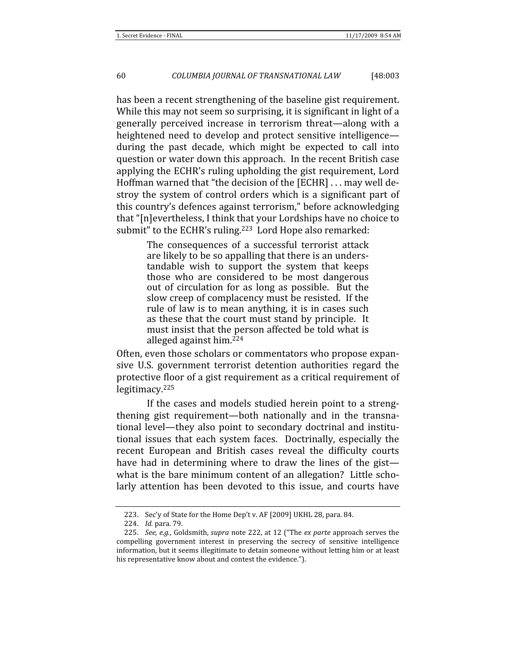has been a recent strengthening of the baseline gist requirement. While this may not seem so surprising, it is significant in light of a generally perceived increase in terrorism threat—along with a heightened need to develop and protect sensitive intelligence during the past decade, which might be expected to call into question or water down this approach. In the recent British case applying the ECHR's ruling upholding the gist requirement, Lord Hoffman warned that "the decision of the [ECHR] . . . may well de‐ stroy the system of control orders which is a significant part of this country's defences against terrorism," before acknowledging that "[n]evertheless, I think that your Lordships have no choice to submit" to the ECHR's ruling.<sup>223</sup> Lord Hope also remarked:

> The consequences of a successful terrorist attack are likely to be so appalling that there is an unders‐ tandable wish to support the system that keeps those who are considered to be most dangerous out of circulation for as long as possible. But the slow creep of complacency must be resisted. If the rule of law is to mean anything, it is in cases such as these that the court must stand by principle. It must insist that the person affected be told what is alleged against him.224

Often, even those scholars or commentators who propose expan‐ sive U.S. government terrorist detention authorities regard the protective floor of a gist requirement as a critical requirement of legitimacy.225

If the cases and models studied herein point to a strengthening gist requirement—both nationally and in the transna‐ tional level—they also point to secondary doctrinal and institu‐ tional issues that each system faces. Doctrinally, especially the recent European and British cases reveal the difficulty courts have had in determining where to draw the lines of the gist what is the bare minimum content of an allegation? Little scholarly attention has been devoted to this issue, and courts have

<sup>223.</sup> Sec'y of State for the Home Dep't v. AF [2009] UKHL 28, para. 84.

<sup>224.</sup> *Id.* para. 79.

<sup>225.</sup> *See, e.g.*, Goldsmith, *supra* note 222, at 12 ("The *ex parte* approach serves the compelling government interest in preserving the secrecy of sensitive intelligence information, but it seems illegitimate to detain someone without letting him or at least his representative know about and contest the evidence.").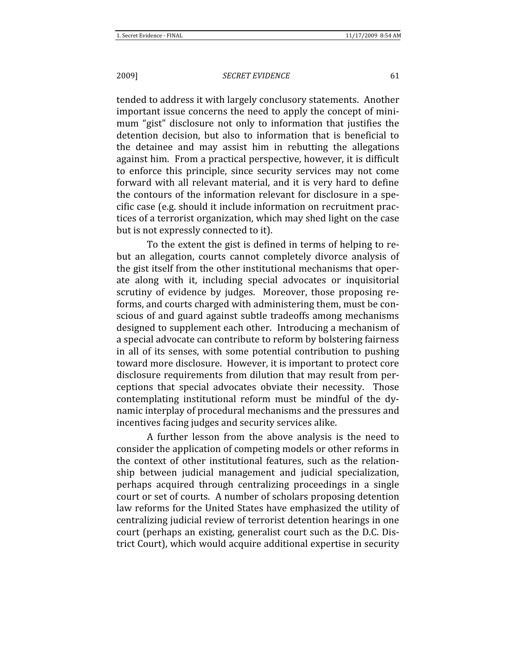tended to address it with largely conclusory statements. Another important issue concerns the need to apply the concept of minimum "gist" disclosure not only to information that justifies the detention decision, but also to information that is beneficial to the detainee and may assist him in rebutting the allegations against him. From a practical perspective, however, it is difficult to enforce this principle, since security services may not come forward with all relevant material, and it is very hard to define the contours of the information relevant for disclosure in a spe‐ cific case (e.g. should it include information on recruitment prac‐ tices of a terrorist organization, which may shed light on the case but is not expressly connected to it).

To the extent the gist is defined in terms of helping to re‐ but an allegation, courts cannot completely divorce analysis of the gist itself from the other institutional mechanisms that oper‐ ate along with it, including special advocates or inquisitorial scrutiny of evidence by judges. Moreover, those proposing reforms, and courts charged with administering them, must be con‐ scious of and guard against subtle tradeoffs among mechanisms designed to supplement each other. Introducing a mechanism of a special advocate can contribute to reform by bolstering fairness in all of its senses, with some potential contribution to pushing toward more disclosure. However, it is important to protect core disclosure requirements from dilution that may result from per‐ ceptions that special advocates obviate their necessity. Those contemplating institutional reform must be mindful of the dy‐ namic interplay of procedural mechanisms and the pressures and incentives facing judges and security services alike.

A further lesson from the above analysis is the need to consider the application of competing models or other reforms in the context of other institutional features, such as the relation‐ ship between judicial management and judicial specialization, perhaps acquired through centralizing proceedings in a single court or set of courts. A number of scholars proposing detention law reforms for the United States have emphasized the utility of centralizing judicial review of terrorist detention hearings in one court (perhaps an existing, generalist court such as the D.C. Dis‐ trict Court), which would acquire additional expertise in security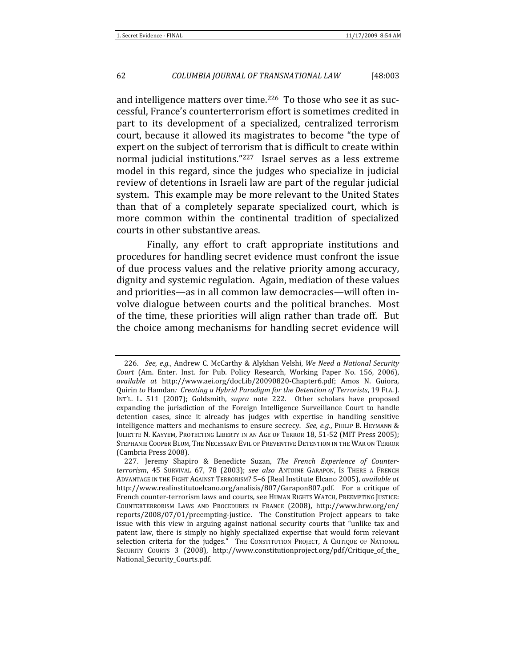and intelligence matters over time.<sup>226</sup> To those who see it as successful, France's counterterrorism effort is sometimes credited in part to its development of a specialized, centralized terrorism court, because it allowed its magistrates to become "the type of expert on the subject of terrorism that is difficult to create within normal judicial institutions."<sup>227</sup> Israel serves as a less extreme model in this regard, since the judges who specialize in judicial review of detentions in Israeli law are part of the regular judicial system. This example may be more relevant to the United States than that of a completely separate specialized court, which is more common within the continental tradition of specialized courts in other substantive areas.

Finally, any effort to craft appropriate institutions and procedures for handling secret evidence must confront the issue of due process values and the relative priority among accuracy, dignity and systemic regulation. Again, mediation of these values and priorities—as in all common law democracies—will often in‐ volve dialogue between courts and the political branches. Most of the time, these priorities will align rather than trade off. But the choice among mechanisms for handling secret evidence will

<sup>226.</sup> *See, e.g.*, Andrew C. McCarthy & Alykhan Velshi, *We Need a National Security Court* (Am. Enter. Inst. for Pub. Policy Research, Working Paper No. 156, 2006), *available at* http://www.aei.org/docLib/20090820‐Chapter6.pdf; Amos N. Guiora*,*  Quirin *to* Hamdan*: Creating a Hybrid Paradigm for the Detention of Terrorists*, 19 FLA. J. INT'L. L. 511 (2007); Goldsmith, *supra* note 222. Other scholars have proposed expanding the jurisdiction of the Foreign Intelligence Surveillance Court to handle detention cases, since it already has judges with expertise in handling sensitive intelligence matters and mechanisms to ensure secrecy. *See, e.g.*, PHILIP B. HEYMANN & JULIETTE N. KAYYEM, PROTECTING LIBERTY IN AN AGE OF TERROR 18, 51‐52 (MIT Press 2005); STEPHANIE COOPER BLUM, THE NECESSARY EVIL OF PREVENTIVE DETENTION IN THE WAR ON TERROR (Cambria Press 2008).

<sup>227.</sup> Jeremy Shapiro & Benedicte Suzan, *The French Experience of Counter‐ terrorism*, 45 SURVIVAL 67, 78 (2003); *see also* ANTOINE GARAPON, IS THERE A FRENCH ADVANTAGE IN THE FIGHT AGAINST TERRORISM? 5–6 (Real Institute Elcano 2005), *available at* http://www.realinstitutoelcano.org/analisis/807/Garapon807.pdf. For a critique of French counter‐terrorism laws and courts, see HUMAN RIGHTS WATCH, PREEMPTING JUSTICE: COUNTERTERRORISM LAWS AND PROCEDURES IN FRANCE (2008), http://www.hrw.org/en/ reports/2008/07/01/preempting-justice. The Constitution Project appears to take issue with this view in arguing against national security courts that "unlike tax and patent law, there is simply no highly specialized expertise that would form relevant selection criteria for the judges." The CONSTITUTION PROJECT, A CRITIQUE OF NATIONAL SECURITY COURTS 3 (2008), http://www.constitutionproject.org/pdf/Critique\_of\_the\_ National\_Security\_Courts.pdf.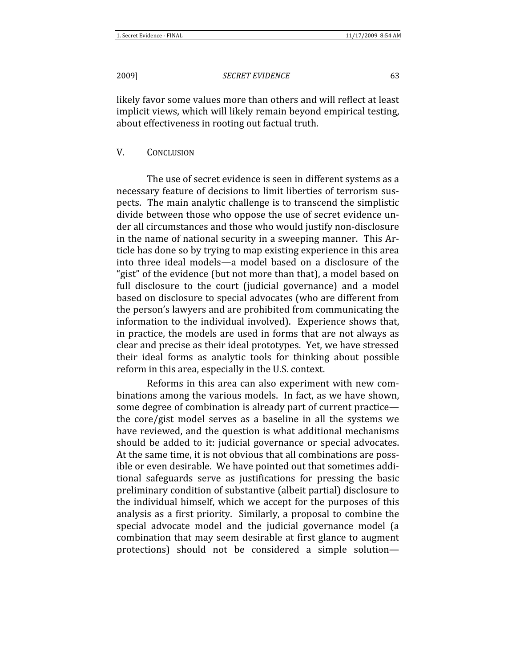likely favor some values more than others and will reflect at least implicit views, which will likely remain beyond empirical testing, about effectiveness in rooting out factual truth.

# V. CONCLUSION

The use of secret evidence is seen in different systems as a necessary feature of decisions to limit liberties of terrorism sus‐ pects. The main analytic challenge is to transcend the simplistic divide between those who oppose the use of secret evidence un‐ der all circumstances and those who would justify non‐disclosure in the name of national security in a sweeping manner. This Ar‐ ticle has done so by trying to map existing experience in this area into three ideal models—a model based on a disclosure of the "gist" of the evidence (but not more than that), a model based on full disclosure to the court (judicial governance) and a model based on disclosure to special advocates (who are different from the person's lawyers and are prohibited from communicating the information to the individual involved). Experience shows that, in practice, the models are used in forms that are not always as clear and precise as their ideal prototypes. Yet, we have stressed their ideal forms as analytic tools for thinking about possible reform in this area, especially in the U.S. context.

Reforms in this area can also experiment with new com‐ binations among the various models. In fact, as we have shown, some degree of combination is already part of current practice the core/gist model serves as a baseline in all the systems we have reviewed, and the question is what additional mechanisms should be added to it: judicial governance or special advocates. At the same time, it is not obvious that all combinations are poss‐ ible or even desirable. We have pointed out that sometimes addi‐ tional safeguards serve as justifications for pressing the basic preliminary condition of substantive (albeit partial) disclosure to the individual himself, which we accept for the purposes of this analysis as a first priority. Similarly, a proposal to combine the special advocate model and the judicial governance model (a combination that may seem desirable at first glance to augment protections) should not be considered a simple solution—